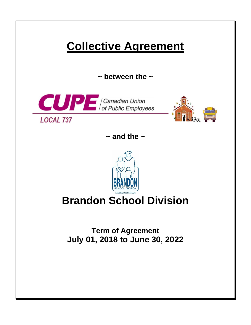# **Collective Agreement**

**~ between the ~**





**~ and the ~**



# **Brandon School Division**

**Term of Agreement July 01, 2018 to June 30, 2022**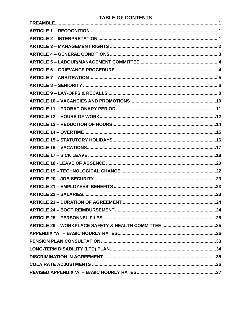## **TABLE OF CONTENTS**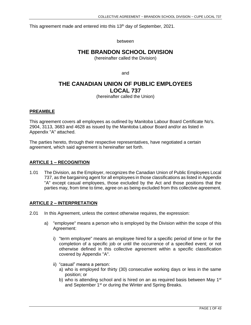This agreement made and entered into this 13<sup>th</sup> day of September, 2021.

between

## **THE BRANDON SCHOOL DIVISION**

(hereinafter called the Division)

and

# **THE CANADIAN UNION OF PUBLIC EMPLOYEES LOCAL 737**

(hereinafter called the Union)

## <span id="page-2-0"></span>**PREAMBLE**

This agreement covers all employees as outlined by Manitoba Labour Board Certificate No's. 2904, 3113, 3683 and 4628 as issued by the Manitoba Labour Board and/or as listed in Appendix "A" attached.

<span id="page-2-1"></span>The parties hereto, through their respective representatives, have negotiated a certain agreement, which said agreement is hereinafter set forth.

## **ARTICLE 1 – RECOGNITION**

1.01 The Division, as the Employer, recognizes the Canadian Union of Public Employees Local 737, as the bargaining agent for all employees in those classifications as listed in Appendix "A" except casual employees, those excluded by the Act and those positions that the parties may, from time to time, agree on as being excluded from this collective agreement.

## <span id="page-2-2"></span>**ARTICLE 2 – INTERPRETATION**

- 2.01 In this Agreement, unless the context otherwise requires, the expression:
	- a) "employee" means a person who is employed by the Division within the scope of this Agreement:
		- i) "term employee" means an employee hired for a specific period of time or for the completion of a specific job or until the occurrence of a specified event; or not otherwise defined in this collective agreement within a specific classification covered by Appendix "A".
		- ii) "casual" means a person:
			- a) who is employed for thirty (30) consecutive working days or less in the same position; or
			- b) who is attending school and is hired on an as required basis between May 1<sup>st</sup> and September 1<sup>st</sup> or during the Winter and Spring Breaks.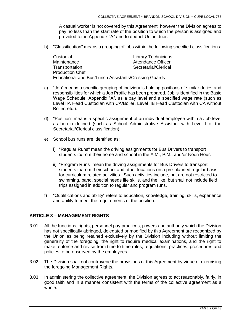A casual worker is not covered by this Agreement, however the Division agrees to pay no less than the start rate of the position to which the person is assigned and provided for in Appendix "A" and to deduct Union dues.

b) "Classification" means a grouping of jobs within the following specified classifications:

| Custodial                                            | <b>Library Technicians</b> |  |  |  |
|------------------------------------------------------|----------------------------|--|--|--|
| Maintenance                                          | <b>Attendance Officer</b>  |  |  |  |
| Transportation                                       | Secretarial/Clerical       |  |  |  |
| <b>Production Chef</b>                               |                            |  |  |  |
| Educational and Bus/Lunch Assistants/Crossing Guards |                            |  |  |  |

- c) "Job" means a specific grouping of individuals holding positions of similar duties and responsibilities for which a Job Profile has been prepared. Job is identified in the Basic Wage Schedule, Appendix "A", as a pay level and a specified wage rate (such as Level IIA Head Custodian with CA/Boiler, Level IIB Head Custodian with CA without Boiler, etc.).
- d) "Position" means a specific assignment of an individual employee within a Job level as herein defined (such as School Administrative Assistant with Level I of the Secretarial/Clerical classification).
- e) School bus runs are identified as:
	- i) "Regular Runs" mean the driving assignments for Bus Drivers to transport students to/from their home and school in the A.M., P.M., and/or Noon Hour.
	- ii) "Program Runs" mean the driving assignments for Bus Drivers to transport students to/from their school and other locations on a pre-planned regular basis for curriculum related activities. Such activities include, but are not restricted to swimming, band, special needs life skills, and the like, but shall not include field trips assigned in addition to regular and program runs.
- f) "Qualifications and ability" refers to education, knowledge, training, skills, experience and ability to meet the requirements of the position.

## <span id="page-3-0"></span>**ARTICLE 3 – MANAGEMENT RIGHTS**

- 3.01 All the functions, rights, personnel pay practices, powers and authority which the Division has not specifically abridged, delegated or modified by this Agreement are recognized by the Union as being retained exclusively by the Division including without limiting the generality of the foregoing, the right to require medical examinations, and the right to make, enforce and revise from time to time rules, regulations, practices, procedures and policies to be observed by the employees.
- 3.02 The Division shall not contravene the provisions of this Agreement by virtue of exercising the foregoing Management Rights.
- 3.03 In administering the collective agreement, the Division agrees to act reasonably, fairly, in good faith and in a manner consistent with the terms of the collective agreement as a whole.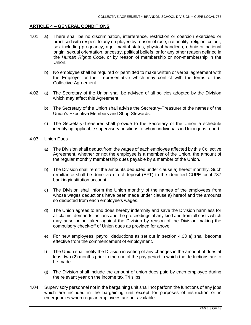#### <span id="page-4-0"></span>**ARTICLE 4 – GENERAL CONDITIONS**

- 4.01 a) There shall be no discrimination, interference, restriction or coercion exercised or practised with respect to any employee by reason of race, nationality, religion, colour, sex including pregnancy, age, marital status, physical handicap, ethnic or national origin, sexual orientation, ancestry, political beliefs, or for any other reason defined in the *Human Rights Code*, or by reason of membership or non-membership in the Union.
	- b) No employee shall be required or permitted to make written or verbal agreement with the Employer or their representative which may conflict with the terms of this Collective Agreement.
- 4.02 a) The Secretary of the Union shall be advised of all policies adopted by the Division which may affect this Agreement.
	- b) The Secretary of the Union shall advise the Secretary-Treasurer of the names of the Union's Executive Members and Shop Stewards.
	- c) The Secretary-Treasurer shall provide to the Secretary of the Union a schedule identifying applicable supervisory positions to whom individuals in Union jobs report.

#### 4.03 Union Dues

- a) The Division shall deduct from the wages of each employee affected by this Collective Agreement, whether or not the employee is a member of the Union, the amount of the regular monthly membership dues payable by a member of the Union.
- b) The Division shall remit the amounts deducted under clause a) hereof monthly. Such remittance shall be done via direct deposit (EFT) to the identified CUPE local 737 banking/institution account.
- c) The Division shall inform the Union monthly of the names of the employees from whose wages deductions have been made under clause a) hereof and the amounts so deducted from each employee's wages.
- d) The Union agrees to and does hereby indemnify and save the Division harmless for all claims, demands, actions and the proceedings of any kind and from all costs which may arise or be taken against the Division by reason of the Division making the compulsory check-off of Union dues as provided for above.
- e) For new employees, payroll deductions as set out in section 4.03 a) shall become effective from the commencement of employment.
- f) The Union shall notify the Division in writing of any changes in the amount of dues at least two (2) months prior to the end of the pay period in which the deductions are to be made.
- g) The Division shall include the amount of union dues paid by each employee during the relevant year on the income tax T4 slips.
- 4.04 Supervisory personnel not in the bargaining unit shall not perform the functions of any jobs which are included in the bargaining unit except for purposes of instruction or in emergencies when regular employees are not available.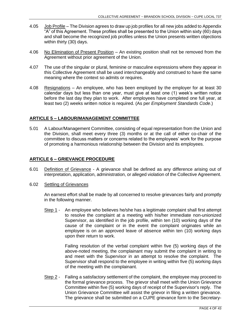- 4.05 Job Profile The Division agrees to draw up job profiles for all new jobs added to Appendix "A" of this Agreement. These profiles shall be presented to the Union within sixty (60) days and shall become the recognized job profiles unless the Union presents written objections within thirty (30) days.
- 4.06 No Elimination of Present Position An existing position shall not be removed from the Agreement without prior agreement of the Union.
- 4.07 The use of the singular or plural, feminine or masculine expressions where they appear in this Collective Agreement shall be used interchangeably and construed to have the same meaning where the context so admits or requires.
- 4.08 Resignations An employee, who has been employed by the employer for at least 30 calendar days but less than one year, must give at least one (1) week's written notice before the last day they plan to work. After employees have completed one full year, at least two (2) weeks written notice is required. (As per *Employment Standards Code*.)

## <span id="page-5-0"></span>**ARTICLE 5 – LABOUR/MANAGEMENT COMMITTEE**

5.01 A Labour/Management Committee, consisting of equal representation from the Union and the Division, shall meet every three (3) months or at the call of either co-chair of the committee to discuss matters or concerns related to the employees' work for the purpose of promoting a harmonious relationship between the Division and its employees.

## <span id="page-5-1"></span>**ARTICLE 6 – GRIEVANCE PROCEDURE**

- 6.01 Definition of Grievance A grievance shall be defined as any difference arising out of interpretation, application, administration, or alleged violation of the Collective Agreement.
- 6.02 Settling of Grievances

An earnest effort shall be made by all concerned to resolve grievances fairly and promptly in the following manner.

Step 1 - An employee who believes he/she has a legitimate complaint shall first attempt to resolve the complaint at a meeting with his/her immediate non-unionized Supervisor, as identified in the job profile, within ten (10) working days of the cause of the complaint or in the event the complaint originates while an employee is on an approved leave of absence within ten (10) working days upon their return to work.

> Failing resolution of the verbal complaint within five (5) working days of the above-noted meeting, the complainant may submit the complaint in writing to and meet with the Supervisor in an attempt to resolve the complaint. The Supervisor shall respond to the employee in writing within five (5) working days of the meeting with the complainant.

Step 2 - Failing a satisfactory settlement of the complaint, the employee may proceed to the formal grievance process. The grievor shall meet with the Union Grievance Committee within five (5) working days of receipt of the Supervisor's reply. The Union Grievance Committee will assist the grievor in filing a written grievance. The grievance shall be submitted on a CUPE grievance form to the Secretary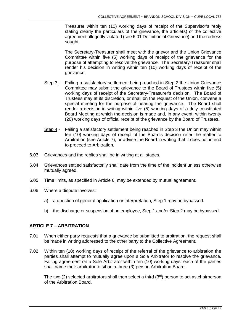Treasurer within ten (10) working days of receipt of the Supervisor's reply stating clearly the particulars of the grievance, the article(s) of the collective agreement allegedly violated (see 6.01 Definition of Grievance) and the redress sought.

The Secretary-Treasurer shall meet with the grievor and the Union Grievance Committee within five (5) working days of receipt of the grievance for the purpose of attempting to resolve the grievance. The Secretary-Treasurer shall render his decision in writing within ten (10) working days of receipt of the grievance.

- Step 3 Failing a satisfactory settlement being reached in Step 2 the Union Grievance Committee may submit the grievance to the Board of Trustees within five (5) working days of receipt of the Secretary-Treasurer's decision. The Board of Trustees may at its discretion, or shall on the request of the Union, convene a special meeting for the purpose of hearing the grievance. The Board shall render a decision in writing within five (5) working days of a duly constituted Board Meeting at which the decision is made and, in any event, within twenty (20) working days of official receipt of the grievance by the Board of Trustees.
- Step 4 Failing a satisfactory settlement being reached in Step 3 the Union may within ten (10) working days of receipt of the Board's decision refer the matter to Arbitration (see Article 7), or advise the Board in writing that it does not intend to proceed to Arbitration.
- 6.03 Grievances and the replies shall be in writing at all stages.
- 6.04 Grievances settled satisfactorily shall date from the time of the incident unless otherwise mutually agreed.
- 6.05 Time limits, as specified in Article 6, may be extended by mutual agreement.
- 6.06 Where a dispute involves:
	- a) a question of general application or interpretation, Step 1 may be bypassed.
	- b) the discharge or suspension of an employee, Step 1 and/or Step 2 may be bypassed.

## <span id="page-6-0"></span>**ARTICLE 7 – ARBITRATION**

- 7.01 When either party requests that a grievance be submitted to arbitration, the request shall be made in writing addressed to the other party to the Collective Agreement.
- 7.02 Within ten (10) working days of receipt of the referral of the grievance to arbitration the parties shall attempt to mutually agree upon a Sole Arbitrator to resolve the grievance. Failing agreement on a Sole Arbitrator within ten (10) working days, each of the parties shall name their arbitrator to sit on a three (3) person Arbitration Board.

The two (2) selected arbitrators shall then select a third  $(3<sup>rd</sup>)$  person to act as chairperson of the Arbitration Board.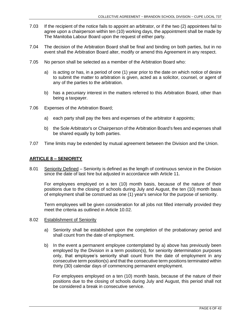- 7.03 If the recipient of the notice fails to appoint an arbitrator, or if the two (2) appointees fail to agree upon a chairperson within ten (10) working days, the appointment shall be made by The Manitoba Labour Board upon the request of either party.
- 7.04 The decision of the Arbitration Board shall be final and binding on both parties, but in no event shall the Arbitration Board alter, modify or amend this Agreement in any respect.
- 7.05 No person shall be selected as a member of the Arbitration Board who:
	- a) is acting or has, in a period of one (1) year prior to the date on which notice of desire to submit the matter to arbitration is given, acted as a solicitor, counsel, or agent of any of the parties to the arbitration.
	- b) has a pecuniary interest in the matters referred to this Arbitration Board, other than being a taxpayer.
- 7.06 Expenses of the Arbitration Board;
	- a) each party shall pay the fees and expenses of the arbitrator it appoints;
	- b) the Sole Arbitrator's or Chairperson of the Arbitration Board's fees and expenses shall be shared equally by both parties.
- <span id="page-7-0"></span>7.07 Time limits may be extended by mutual agreement between the Division and the Union.

## **ARTICLE 8 – SENIORITY**

8.01 Seniority Defined – Seniority is defined as the length of continuous service in the Division since the date of last hire but adjusted in accordance with Article 11.

For employees employed on a ten (10) month basis, because of the nature of their positions due to the closing of schools during July and August, the ten (10) month basis of employment shall be construed as one (1) year's service for the purpose of seniority.

Term employees will be given consideration for all jobs not filled internally provided they meet the criteria as outlined in Article 10.02.

## 8.02 Establishment of Seniority

- a) Seniority shall be established upon the completion of the probationary period and shall count from the date of employment.
- b) In the event a permanent employee contemplated by a) above has previously been employed by the Division in a term position(s), for seniority determination purposes only, that employee's seniority shall count from the date of employment in any consecutive term position(s) and that the consecutive term positions terminated within thirty (30) calendar days of commencing permanent employment.

For employees employed on a ten (10) month basis, because of the nature of their positions due to the closing of schools during July and August, this period shall not be considered a break in consecutive service.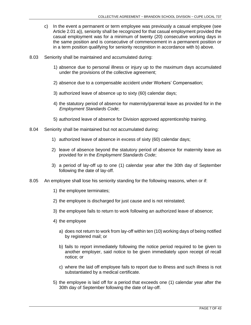- c) In the event a permanent or term employee was previously a casual employee (see Article 2.01 a)), seniority shall be recognized for that casual employment provided the casual employment was for a minimum of twenty (20) consecutive working days in the same position and is consecutive of commencement in a permanent position or in a term position qualifying for seniority recognition in accordance with b) above.
- 8.03 Seniority shall be maintained and accumulated during:
	- 1) absence due to personal illness or injury up to the maximum days accumulated under the provisions of the collective agreement;
	- 2) absence due to a compensable accident under Workers' Compensation;
	- 3) authorized leave of absence up to sixty (60) calendar days;
	- 4) the statutory period of absence for maternity/parental leave as provided for in the *Employment Standards Code*;
	- 5) authorized leave of absence for Division approved apprenticeship training.
- 8.04 Seniority shall be maintained but not accumulated during:
	- 1) authorized leave of absence in excess of sixty (60) calendar days;
	- 2) leave of absence beyond the statutory period of absence for maternity leave as provided for in the *Employment Standards Code*;
	- 3) a period of lay-off up to one (1) calendar year after the 30th day of September following the date of lay-off.
- 8.05 An employee shall lose his seniority standing for the following reasons, when or if:
	- 1) the employee terminates;
	- 2) the employee is discharged for just cause and is not reinstated;
	- 3) the employee fails to return to work following an authorized leave of absence;
	- 4) the employee
		- a) does not return to work from lay-off within ten (10) working days of being notified by registered mail; or
		- b) fails to report immediately following the notice period required to be given to another employer, said notice to be given immediately upon receipt of recall notice; or
		- c) where the laid off employee fails to report due to illness and such illness is not substantiated by a medical certificate.
	- 5) the employee is laid off for a period that exceeds one (1) calendar year after the 30th day of September following the date of lay-off.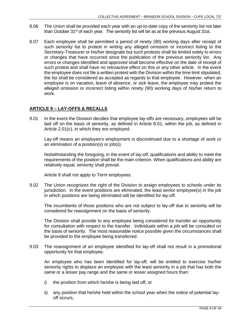- 8.06 The Union shall be provided each year with an up-to-date copy of the seniority list not later than October 31 $\mathrm{st}$  of each year. The seniority list will be as at the previous August 31st.
- 8.07 Each employee shall be permitted a period of ninety (90) working days after receipt of such seniority list to protest in writing any alleged omission or incorrect listing to the Secretary-Treasurer or his/her designate but such protests shall be limited solely to errors or changes that have occurred since the publication of the previous seniority list. Any errors or changes identified and approved shall become effective on the date of receipt of such protest and shall have no retroactive effect on this or any other article. In the event the employee does not file a written protest with the Division within the time limit stipulated, the list shall be considered as accepted as regards to that employee. However, when an employee is on vacation, leave of absence, or sick leave, the employee may protest the alleged omission or incorrect listing within ninety (90) working days of his/her return to work.

## <span id="page-9-0"></span>**ARTICLE 9 – LAY-OFFS & RECALLS**

9.01 In the event the Division decides that employee lay-offs are necessary, employees will be laid off on the basis of seniority, as defined in Article 8.01, within the job, as defined in Article 2.01(c), in which they are employed.

Lay-off means an employee's employment is discontinued due to a shortage of work or an elimination of a position(s) or job(s).

Notwithstanding the foregoing, in the event of lay-off, qualifications and ability to meet the requirements of the position shall be the main criterion. When qualifications and ability are relatively equal, seniority shall prevail.

Article 9 shall not apply to Term employees.

9.02 The Union recognizes the right of the Division to assign employees to schools under its jurisdiction. In the event positions are eliminated, the least senior employee(s) in the job in which positions are being eliminated will be identified for lay-off.

The incumbents of those positions who are not subject to lay-off due to seniority will be considered for reassignment on the basis of seniority.

The Division shall provide to any employee being considered for transfer an opportunity for consultation with respect to the transfer. Individuals within a job will be consulted on the basis of seniority. The most reasonable notice possible given the circumstances shall be provided to the employee being transferred.

9.03 The reassignment of an employee identified for lay-off shall not result in a promotional opportunity for that employee.

An employee who has been identified for lay-off, will be entitled to exercise his/her seniority rights to displace an employee with the least seniority in a job that has both the same or a lesser pay range and the same or lesser assigned hours than:

- i) the position from which he/she is being laid off, or
- ii) any position that he/she held within the school year when the notice of potential layoff occurs,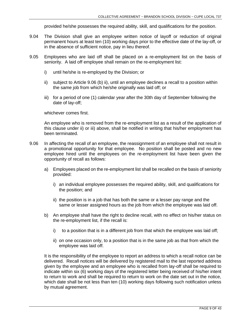provided he/she possesses the required ability, skill, and qualifications for the position.

- 9.04 The Division shall give an employee written notice of layoff or reduction of original permanent hours at least ten (10) working days prior to the effective date of the lay-off, or in the absence of sufficient notice, pay in lieu thereof.
- 9.05 Employees who are laid off shall be placed on a re-employment list on the basis of seniority. A laid off employee shall remain on the re-employment list:
	- i) until he/she is re-employed by the Division; or
	- ii) subject to Article 9.06 (b) ii), until an employee declines a recall to a position within the same job from which he/she originally was laid off; or
	- iii) for a period of one (1) calendar year after the 30th day of September following the date of lay-off;

whichever comes first.

An employee who is removed from the re-employment list as a result of the application of this clause under ii) or iii) above, shall be notified in writing that his/her employment has been terminated.

- 9.06 In affecting the recall of an employee, the reassignment of an employee shall not result in a promotional opportunity for that employee. No position shall be posted and no new employee hired until the employees on the re-employment list have been given the opportunity of recall as follows:
	- a) Employees placed on the re-employment list shall be recalled on the basis of seniority provided:
		- i) an individual employee possesses the required ability, skill, and qualifications for the position; and
		- ii) the position is in a job that has both the same or a lesser pay range and the same or lesser assigned hours as the job from which the employee was laid off.
	- b) An employee shall have the right to decline recall, with no effect on his/her status on the re-employment list, if the recall is:
		- i) to a position that is in a different job from that which the employee was laid off;
		- ii) on one occasion only, to a position that is in the same job as that from which the employee was laid off.

It is the responsibility of the employee to report an address to which a recall notice can be delivered. Recall notices will be delivered by registered mail to the last reported address given by the employee and an employee who is recalled from lay-off shall be required to indicate within six (6) working days of the registered letter being received of his/her intent to return to work and shall be required to return to work on the date set out in the notice, which date shall be not less than ten (10) working days following such notification unless by mutual agreement.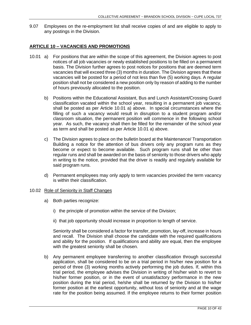9.07 Employees on the re-employment list shall receive copies of and are eligible to apply to any postings in the Division.

## <span id="page-11-0"></span>**ARTICLE 10 – VACANCIES AND PROMOTIONS**

- 10.01 a) For positions that are within the scope of this agreement, the Division agrees to post notices of all job vacancies or newly established positions to be filled on a permanent basis. The Division further agrees to post notices for positions that are deemed term vacancies that will exceed three (3) months in duration. The Division agrees that these vacancies will be posted for a period of not less than five (5) working days. A regular position shall not be considered a new position only by reason of adding to the number of hours previously allocated to the position.
	- b) Positions within the Educational Assistant, Bus and Lunch Assistant/Crossing Guard classification vacated within the school year, resulting in a permanent job vacancy, shall be posted as per Article 10.01 a) above. In special circumstances where the filling of such a vacancy would result in disruption to a student program and/or classroom situation, the permanent position will commence in the following school year. As such, the vacancy shall then be filled for the remainder of the school year as term and shall be posted as per Article 10.01 a) above.
	- c) The Division agrees to place on the bulletin board at the Maintenance/ Transportation Building a notice for the attention of bus drivers only any program runs as they become or expect to become available. Such program runs shall be other than regular runs and shall be awarded on the basis of seniority to those drivers who apply in writing to the notice, provided that the driver is readily and regularly available for said program runs.
	- d) Permanent employees may only apply to term vacancies provided the term vacancy is within their classification.

#### 10.02 Role of Seniority in Staff Changes

- a) Both parties recognize:
	- i) the principle of promotion within the service of the Division;
	- ii) that job opportunity should increase in proportion to length of service.

Seniority shall be considered a factor for transfer, promotion, lay-off, increase in hours and recall. The Division shall choose the candidate with the required qualifications and ability for the position. If qualifications and ability are equal, then the employee with the greatest seniority shall be chosen.

b) Any permanent employee transferring to another classification through successful application, shall be considered to be on a trial period in his/her new position for a period of three (3) working months actively performing the job duties. If, within this trial period, the employee advises the Division in writing of his/her wish to revert to his/her former position, or in the event of unsatisfactory performance in the new position during the trial period, he/she shall be returned by the Division to his/her former position at the earliest opportunity, without loss of seniority and at the wage rate for the position being assumed. If the employee returns to their former position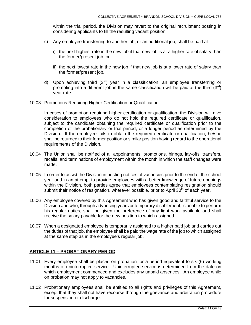within the trial period, the Division may revert to the original recruitment posting in considering applicants to fill the resulting vacant position.

- c) Any employee transferring to another job, or an additional job, shall be paid at:
	- i) the next highest rate in the new job if that new job is at a higher rate of salary than the former/present job; or
	- ii) the next lowest rate in the new job if that new job is at a lower rate of salary than the former/present job.
- d) Upon achieving third (3rd) year in a classification, an employee transferring or promoting into a different job in the same classification will be paid at the third  $(3<sup>rd</sup>)$ year rate.

#### 10.03 Promotions Requiring Higher Certification or Qualification

In cases of promotion requiring higher certification or qualification, the Division will give consideration to employees who do not hold the required certificate or qualification, subject to the candidate obtaining the required certificate or qualification prior to the completion of the probationary or trial period, or a longer period as determined by the Division. If the employee fails to obtain the required certificate or qualification, he/she shall be returned to their former position or similar position having regard to the operational requirements of the Division.

- 10.04 The Union shall be notified of all appointments, promotions, hirings, lay-offs, transfers, recalls, and terminations of employment within the month in which the staff changes were made.
- 10.05 In order to assist the Division in posting notices of vacancies prior to the end of the school year and in an attempt to provide employees with a better knowledge of future openings within the Division, both parties agree that employees contemplating resignation should submit their notice of resignation, wherever possible, prior to April  $30<sup>th</sup>$  of each year.
- 10.06 Any employee covered by this Agreement who has given good and faithful service to the Division and who, through advancing years or temporary disablement, is unable to perform his regular duties, shall be given the preference of any light work available and shall receive the salary payable for the new position to which assigned.
- 10.07 When a designated employee is temporarily assigned to a higher paid job and carries out the duties of that job, the employee shall be paid the wage rate of the job to which assigned at the same step as in the employee's regular job.

## <span id="page-12-0"></span>**ARTICLE 11 – PROBATIONARY PERIOD**

- 11.01 Every employee shall be placed on probation for a period equivalent to six (6) working months of uninterrupted service. Uninterrupted service is determined from the date on which employment commenced and excludes any unpaid absences. An employee while on probation may not apply to vacancies.
- 11.02 Probationary employees shall be entitled to all rights and privileges of this Agreement, except that they shall not have recourse through the grievance and arbitration procedure for suspension or discharge.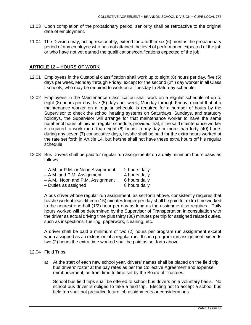- 11.03 Upon completion of the probationary period, seniority shall be retroactive to the original date of employment.
- 11.04 The Division may, acting reasonably, extend for a further six (6) months the probationary period of any employee who has not attained the level of performance expected of the job or who have not yet earned the qualifications/certifications expected of the job.

## <span id="page-13-0"></span>**ARTICLE 12 – HOURS OF WORK**

- 12.01 Employees in the Custodial classification shall work up to eight (8) hours per day, five (5) days per week, Monday through Friday, except for the second  $(2^{nd})$  day worker in all Class I schools, who may be required to work on a Tuesday to Saturday schedule.
- 12.02 Employees in the Maintenance classification shall work on a regular schedule of up to eight (8) hours per day, five (5) days per week, Monday through Friday, except that, if a maintenance worker on a regular schedule is required for a number of hours by the Supervisor to check the school heating systems on Saturdays, Sundays, and statutory holidays, the Supervisor will arrange for that maintenance worker to have the same number of hours off his/her regular schedule, provided that, if the said maintenance worker is required to work more than eight (8) hours in any day or more than forty (40) hours during any seven (7) consecutive days, he/she shall be paid for the extra hours worked at the rate set forth in Article 14, but he/she shall not have these extra hours off his regular schedule.
- 12.03 Bus Drivers shall be paid for regular run assignments on a daily minimum hours basis as follows:

| 2 hours daily |
|---------------|
| 4 hours daily |
| 6 hours daily |
| 8 hours daily |
|               |

A bus driver whose regular run assignment, as set forth above, consistently requires that he/she work at least fifteen (15) minutes longer per day shall be paid for extra time worked to the nearest one-half (1/2) hour per day as long as the assignment so requires. Daily hours worked will be determined by the Supervisor of Transportation in consultation with the driver as actual driving time plus thirty (30) minutes per trip for assigned related duties, such as inspections, fuelling, paperwork, cleaning, etc.

A driver shall be paid a minimum of two (2) hours per program run assignment except when assigned as an extension of a regular run. If such program run assignment exceeds two (2) hours the extra time worked shall be paid as set forth above.

## 12.04 Field Trips

a) At the start of each new school year, drivers' names shall be placed on the field trip bus drivers' roster at the pay rates as per the Collective Agreement and expense reimbursement, as from time to time set by the Board of Trustees.

School bus field trips shall be offered to school bus drivers on a voluntary basis. No school bus driver is obliged to take a field trip. Electing not to accept a school bus field trip shall not prejudice future job assignments or considerations.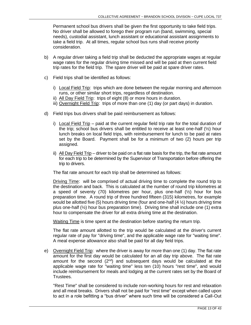Permanent school bus drivers shall be given the first opportunity to take field trips. No driver shall be allowed to forego their program run (band, swimming, special needs), custodial assistant, lunch assistant or educational assistant assignments to take a field trip. At all times, regular school bus runs shall receive priority consideration.

- b) A regular driver taking a field trip shall be deducted the appropriate wages at regular wage rates for the regular driving time missed and will be paid at then current field trip rates for the field trip. The spare driver will be paid at spare driver rates.
- c) Field trips shall be identified as follows:
	- i) Local Field Trip: trips which are done between the regular morning and afternoon runs, or other similar short trips, regardless of destination.
	- ii) All Day Field Trip: trips of eight (8) or more hours in duration.
	- iii) Overnight Field Trip: trips of more than one (1) day (or part days) in duration.
- d) Field trips bus drivers shall be paid reimbursement as follows:
	- i) Local Field Trip paid at the current regular field trip rate for the total duration of the trip; school bus drivers shall be entitled to receive at least one-half  $(\frac{1}{2})$  hour lunch breaks on local field trips, with reimbursement for lunch to be paid at rates set by the Board. Payment shall be for a minimum of two (2) hours per trip assigned.
	- ii) All Day Field Trip driver to be paid on a flat rate basis for the trip, the flat rate amount for each trip to be determined by the Supervisor of Transportation before offering the trip to drivers.

The flat rate amount for each trip shall be determined as follows:

Driving Time: will be comprised of actual driving time to complete the round trip to the destination and back. This is calculated at the number of round trip kilometres at a speed of seventy (70) kilometres per hour, plus one-half  $(½)$  hour for bus preparation time. A round trip of three hundred fifteen (315) kilometres, for example would be allotted five (5) hours driving time (four and one-half (4 ½) hours driving time plus one-half  $(\frac{1}{2})$  hour bus preparation time). Driving time shall include one (1) extra hour to compensate the driver for all extra driving time at the destination.

Waiting Time is time spent at the destination before starting the return trip.

The flat rate amount allotted to the trip would be calculated at the driver's current regular rate of pay for "driving time", and the applicable wage rate for "waiting time". A meal expense allowance also shall be paid for all day field trips.

e) Overnight Field Trip: where the driver is away for more than one (1) day. The flat rate amount for the first day would be calculated for an all day trip above. The flat rate amount for the second  $(2^{nd})$  and subsequent days would be calculated at the applicable wage rate for "waiting time" less ten (10) hours "rest time", and would include reimbursement for meals and lodging at the current rates set by the Board of Trustees.

"Rest Time" shall be considered to include non-working hours for rest and relaxation and all meal breaks. Drivers shall not be paid for "rest time" except when called upon to act in a role befitting a "bus driver" where such time will be considered a Call-Out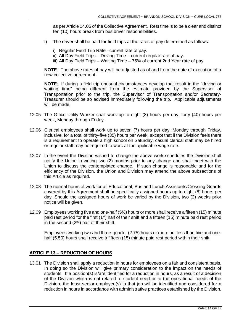as per Article 14.06 of the Collective Agreement. Rest time is to be a clear and distinct ten (10) hours break from bus driver responsibilities.

- f) The driver shall be paid for field trips at the rates of pay determined as follows:
	- i) Regular Field Trip Rate –current rate of pay.
	- ii) All Day Field Trips Driving Time current regular rate of pay.
	- iii) All Day Field Trips Waiting Time 75% of current 2nd Year rate of pay.

**NOTE**: The above rates of pay will be adjusted as of and from the date of execution of a new collective agreement.

**NOTE**: If during a field trip unusual circumstances develop that result in the "driving or waiting time" being different from the estimate provided by the Supervisor of Transportation prior to the trip, the Supervisor of Transportation and/or Secretary-Treasurer should be so advised immediately following the trip. Applicable adjustments will be made.

- 12.05 The Office Utility Worker shall work up to eight (8) hours per day, forty (40) hours per week, Monday through Friday.
- 12.06 Clerical employees shall work up to seven (7) hours per day, Monday through Friday, inclusive, for a total of thirty-five (35) hours per week, except that if the Division feels there is a requirement to operate a high school on Saturday, casual clerical staff may be hired or regular staff may be required to work at the applicable wage rate.
- 12.07 In the event the Division wished to change the above work schedules the Division shall notify the Union in writing two (2) months prior to any change and shall meet with the Union to discuss the contemplated change. If such change is reasonable and for the efficiency of the Division, the Union and Division may amend the above subsections of this Article as required.
- 12.08 The normal hours of work for all Educational, Bus and Lunch Assistants/Crossing Guards covered by this Agreement shall be specifically assigned hours up to eight (8) hours per day. Should the assigned hours of work be varied by the Division, two (2) weeks prior notice will be given.
- 12.09 Employees working five and one-half (5½) hours or more shall receive a fifteen (15) minute paid rest period for the first  $(1<sup>st</sup>)$  half of their shift and a fifteen (15) minute paid rest period in the second  $(2^{nd})$  half of their shift.

Employees working two and three-quarter (2.75) hours or more but less than five and onehalf (5.50) hours shall receive a fifteen (15) minute paid rest period within their shift.

## <span id="page-15-0"></span>**ARTICLE 13 – REDUCTION OF HOURS**

13.01 The Division shall apply a reduction in hours for employees on a fair and consistent basis. In doing so the Division will give primary consideration to the impact on the needs of students. If a position(s) is/are identified for a reduction in hours, as a result of a decision of the Division which is not related to student need or to the operational needs of the Division, the least senior employee(s) in that job will be identified and considered for a reduction in hours in accordance with administrative practices established by the Division.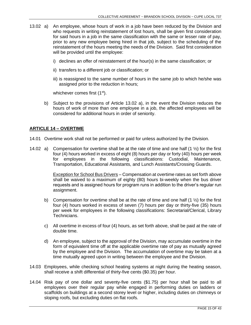- 13.02 a) An employee, whose hours of work in a job have been reduced by the Division and who requests in writing reinstatement of lost hours, shall be given first consideration for said hours in a job in the same classification with the same or lesser rate of pay. prior to any new employee being hired in that job, subject to the scheduling of the reinstatement of the hours meeting the needs of the Division. Said first consideration will be provided until the employee:
	- i) declines an offer of reinstatement of the hour(s) in the same classification; or
	- ii) transfers to a different job or classification; or
	- iii) is reassigned to the same number of hours in the same job to which he/she was assigned prior to the reduction in hours;

whichever comes first (1<sup>st</sup>).

b) Subject to the provisions of Article 13.02 a), in the event the Division reduces the hours of work of more than one employee in a job, the affected employees will be considered for additional hours in order of seniority.

## <span id="page-16-0"></span>**ARTICLE 14 – OVERTIME**

- 14.01 Overtime work shall not be performed or paid for unless authorized by the Division.
- 14.02 a) Compensation for overtime shall be at the rate of time and one half (1 ½) for the first four (4) hours worked in excess of eight (8) hours per day or forty (40) hours per week for employees in the following classifications: Custodial, Maintenance, Transportation, Educational Assistants, and Lunch Assistants/Crossing Guards.

Exception for School Bus Drivers – Compensation at overtime rates as set forth above shall be waived to a maximum of eighty (80) hours bi-weekly when the bus driver requests and is assigned hours for program runs in addition to the driver's regular run assignment.

- b) Compensation for overtime shall be at the rate of time and one half  $(1 \frac{1}{2})$  for the first four (4) hours worked in excess of seven (7) hours per day or thirty-five (35) hours per week for employees in the following classifications: Secretarial/Clerical, Library Technicians.
- c) All overtime in excess of four (4) hours, as set forth above, shall be paid at the rate of double time.
- d) An employee, subject to the approval of the Division, may accumulate overtime in the form of equivalent time off at the applicable overtime rate of pay as mutually agreed by the employee and the Division. The accumulation of overtime may be taken at a time mutually agreed upon in writing between the employee and the Division.
- 14.03 Employees, while checking school heating systems at night during the heating season, shall receive a shift differential of thirty-five cents (\$0.35) per hour.
- 14.04 Risk pay of one dollar and seventy-five cents (\$1.75) per hour shall be paid to all employees over their regular pay while engaged in performing duties on ladders or scaffolds on buildings at a second storey level or higher, including duties on chimneys or sloping roofs, but excluding duties on flat roofs.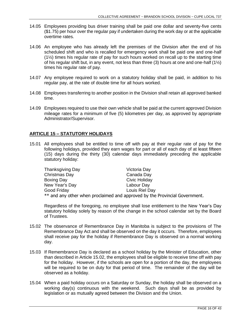- 14.05 Employees providing bus driver training shall be paid one dollar and seventy-five cents (\$1.75) per hour over the regular pay if undertaken during the work day or at the applicable overtime rates.
- 14.06 An employee who has already left the premises of the Division after the end of his scheduled shift and who is recalled for emergency work shall be paid one and one-half (1½) times his regular rate of pay for such hours worked on recall up to the starting time of his regular shift but, in any event, not less than three (3) hours at one and one-half (1½) times his regular rate of pay.
- 14.07 Any employee required to work on a statutory holiday shall be paid, in addition to his regular pay, at the rate of double time for all hours worked.
- 14.08 Employees transferring to another position in the Division shall retain all approved banked time.
- 14.09 Employees required to use their own vehicle shall be paid at the current approved Division mileage rates for a minimum of five (5) kilometres per day, as approved by appropriate Administrator/Supervisor.

## <span id="page-17-0"></span>**ARTICLE 15 – STATUTORY HOLIDAYS**

15.01 All employees shall be entitled to time off with pay at their regular rate of pay for the following holidays, provided they earn wages for part or all of each day of at least fifteen (15) days during the thirty (30) calendar days immediately preceding the applicable statutory holiday:

| Thanksgiving Day | Victoria Day                                                                |
|------------------|-----------------------------------------------------------------------------|
| Christmas Day    | Canada Day                                                                  |
| Boxing Day       | Civic Holiday                                                               |
| New Year's Day   | Labour Day                                                                  |
| Good Friday      | Louis Riel Day                                                              |
|                  | ** and any other when proclaimed and approved by the Provincial Government. |

Regardless of the foregoing, no employee shall lose entitlement to the New Year's Day statutory holiday solely by reason of the change in the school calendar set by the Board of Trustees.

- 15.02 The observance of Remembrance Day in Manitoba is subject to the provisions of The Remembrance Day Act and shall be observed on the day it occurs. Therefore, employees shall receive pay for the holiday if Remembrance Day is observed on a normal working day.
- 15.03 If Remembrance Day is declared as a school holiday by the Minister of Education, other than described in Article 15.02, the employees shall be eligible to receive time off with pay for the holiday. However, if the schools are open for a portion of the day, the employees will be required to be on duty for that period of time. The remainder of the day will be observed as a holiday.
- 15.04 When a paid holiday occurs on a Saturday or Sunday, the holiday shall be observed on a working day(s) continuous with the weekend. Such days shall be as provided by legislation or as mutually agreed between the Division and the Union.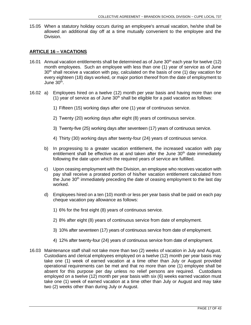15.05 When a statutory holiday occurs during an employee's annual vacation, he/she shall be allowed an additional day off at a time mutually convenient to the employee and the Division.

## <span id="page-18-0"></span>**ARTICLE 16 – VACATIONS**

- 16.01 Annual vacation entitlements shall be determined as of June  $30<sup>th</sup>$  each year for twelve (12) month employees. Such an employee with less than one (1) year of service as of June  $30<sup>th</sup>$  shall receive a vacation with pay, calculated on the basis of one (1) day vacation for every eighteen (18) days worked, or major portion thereof from the date of employment to June 30<sup>th</sup>.
- 16.02 a) Employees hired on a twelve (12) month per year basis and having more than one  $(1)$  year of service as of June  $30<sup>th</sup>$  shall be eligible for a paid vacation as follows:
	- 1) Fifteen (15) working days after one (1) year of continuous service.
	- 2) Twenty (20) working days after eight (8) years of continuous service.
	- 3) Twenty-five (25) working days after seventeen (17) years of continuous service.
	- 4) Thirty (30) working days after twenty-four (24) years of continuous service.
	- b) In progressing to a greater vacation entitlement, the increased vacation with pay entitlement shall be effective as at and taken after the June  $30<sup>th</sup>$  date immediately following the date upon which the required years of service are fulfilled.
	- c) Upon ceasing employment with the Division, an employee who receives vacation with pay shall receive a prorated portion of his/her vacation entitlement calculated from the June 30<sup>th</sup> immediately preceding the date of ceasing employment to the last day worked.
	- d) Employees hired on a ten (10) month or less per year basis shall be paid on each pay cheque vacation pay allowance as follows:
		- 1) 6% for the first eight (8) years of continuous service.
		- 2) 8% after eight (8) years of continuous service from date of employment.
		- 3) 10% after seventeen (17) years of continuous service from date of employment.
		- 4) 12% after twenty-four (24) years of continuous service from date of employment.
- 16.03 Maintenance staff shall not take more than two (2) weeks of vacation in July and August. Custodians and clerical employees employed on a twelve (12) month per year basis may take one (1) week of earned vacation at a time other than July or August provided operational requirements can be met and that no more than one (1) employee shall be absent for this purpose per day unless no relief persons are required. Custodians employed on a twelve (12) month per year basis with six (6) weeks earned vacation must take one (1) week of earned vacation at a time other than July or August and may take two (2) weeks other than during July or August.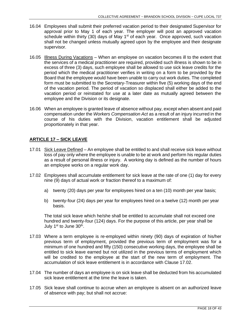- 16.04 Employees shall submit their preferred vacation period to their designated Supervisor for approval prior to May 1 of each year. The employer will post an approved vacation schedule within thirty (30) days of May  $1<sup>st</sup>$  of each year. Once approved, such vacation shall not be changed unless mutually agreed upon by the employee and their designate supervisor.
- 16.05 Illness During Vacations When an employee on vacation becomes ill to the extent that the services of a medical practitioner are required, provided such illness is shown to be in excess of three (3) days, such employee shall be allowed to use sick leave credits for the period which the medical practitioner verifies in writing on a form to be provided by the Board that the employee would have been unable to carry out work duties. The completed form must be submitted to the Secretary-Treasurer within five (5) working days of the end of the vacation period. The period of vacation so displaced shall either be added to the vacation period or reinstated for use at a later date as mutually agreed between the employee and the Division or its designate.
- 16.06 When an employee is granted leave of absence without pay, except when absent and paid compensation under the *Workers Compensation Act* as a result of an injury incurred in the course of his duties with the Division, vacation entitlement shall be adjusted proportionately in that year.

## <span id="page-19-0"></span>**ARTICLE 17 – SICK LEAVE**

- 17.01 Sick Leave Defined An employee shall be entitled to and shall receive sick leave without loss of pay only where the employee is unable to be at work and perform his regular duties as a result of personal illness or injury. A working day is defined as the number of hours an employee works on a regular work day.
- 17.02 Employees shall accumulate entitlement for sick leave at the rate of one (1) day for every nine (9) days of actual work or fraction thereof to a maximum of:
	- a) twenty (20) days per year for employees hired on a ten (10) month per year basis;
	- b) twenty-four (24) days per year for employees hired on a twelve (12) month per year basis.

The total sick leave which he/she shall be entitled to accumulate shall not exceed one hundred and twenty-four (124) days. For the purpose of this article, per year shall be July 1<sup>st</sup> to June 30<sup>th</sup>.

- 17.03 Where a term employee is re-employed within ninety (90) days of expiration of his/her previous term of employment, provided the previous term of employment was for a minimum of one hundred and fifty (150) consecutive working days, the employee shall be entitled to sick leave earned but not utilized in the previous terms of employment which will be credited to the employee at the start of the new term of employment. The accumulation of sick leave entitlement is in accordance with Clause 17.02.
- 17.04 The number of days an employee is on sick leave shall be deducted from his accumulated sick leave entitlement at the time the leave is taken.
- 17.05 Sick leave shall continue to accrue when an employee is absent on an authorized leave of absence with pay; but shall not accrue: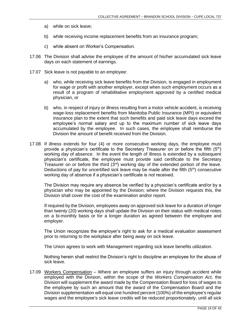- a) while on sick leave;
- b) while receiving income replacement benefits from an insurance program;
- c) while absent on Worker's Compensation.
- 17.06 The Division shall advise the employee of the amount of his/her accumulated sick leave days on each statement of earnings.
- 17.07 Sick leave is not payable to an employee:
	- a) who, while receiving sick leave benefits from the Division, is engaged in employment for wage or profit with another employer, except when such employment occurs as a result of a program of rehabilitative employment approved by a certified medical physician, or
	- b) who, in respect of injury or illness resulting from a motor vehicle accident, is receiving wage-loss replacement benefits from Manitoba Public Insurance (MPI) or equivalent insurance plan to the extent that such benefits and paid sick leave days exceed the employee's normal salary and up to the maximum number of sick leave days accumulated by the employee. In such cases, the employee shall reimburse the Division the amount of benefit received from the Division.
- 17.08 If illness extends for four (4) or more consecutive working days, the employee must provide a physician's certificate to the Secretary Treasurer on or before the fifth  $(5<sup>th</sup>)$ working day of absence. In the event the length of illness is extended by a subsequent physician's certificate, the employee must provide said certificate to the Secretary Treasurer on or before the third  $(3^{rd})$  working day of the extended portion of the leave. Deductions of pay for uncertified sick leave may be made after the fifth  $(5<sup>th</sup>)$  consecutive working day of absence if a physician's certificate is not received.

The Division may require any absence be verified by a physician's certificate and/or by a physician who may be appointed by the Division; where the Division requests this, the Division shall cover the cost of the examination and/or report.

If required by the Division, employees away on approved sick leave for a duration of longer than twenty (20) working days shall update the Division on their status with medical notes on a bi-monthly basis or for a longer duration as agreed between the employee and employer.

The Union recognizes the employer's right to ask for a medical evaluation assessment prior to returning to the workplace after being away on sick leave.

The Union agrees to work with Management regarding sick leave benefits utilization.

Nothing herein shall restrict the Division's right to discipline an employee for the abuse of sick leave.

17.09 Workers Compensation – Where an employee suffers an injury through accident while employed with the Division, within the scope of the *Workers Compensation Act*, the Division will supplement the award made by the Compensation Board for loss of wages to the employee by such an amount that the award of the Compensation Board and the Division supplementation will equal one hundred percent (100%) of the employee's regular wages and the employee's sick leave credits will be reduced proportionately, until all sick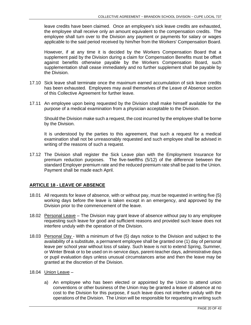leave credits have been claimed. Once an employee's sick leave credits are exhausted, the employee shall receive only an amount equivalent to the compensation credits. The employee shall turn over to the Division any payment or payments for salary or wages applicable to the said period received by him/her from the Workers' Compensation Board.

However, if at any time it is decided by the Workers Compensation Board that a supplement paid by the Division during a claim for Compensation Benefits must be offset against benefits otherwise payable by the Workers Compensation Board, such supplementation shall cease immediately and no further supplement shall be payable by the Division.

- 17.10 Sick leave shall terminate once the maximum earned accumulation of sick leave credits has been exhausted. Employees may avail themselves of the Leave of Absence section of this Collective Agreement for further leave.
- 17.11 An employee upon being requested by the Division shall make himself available for the purpose of a medical examination from a physician acceptable to the Division.

Should the Division make such a request, the cost incurred by the employee shall be borne by the Division.

It is understood by the parties to this agreement, that such a request for a medical examination shall not be unreasonably requested and such employee shall be advised in writing of the reasons of such a request.

17.12 The Division shall register the Sick Leave plan with the Employment Insurance for premium reduction purposes. The five-twelfths (5/12) of the difference between the standard Employer premium rate and the reduced premium rate shall be paid to the Union. Payment shall be made each April.

## <span id="page-21-0"></span>**ARTICLE 18 - LEAVE OF ABSENCE**

- 18.01 All requests for leave of absence, with or without pay, must be requested in writing five (5) working days before the leave is taken except in an emergency, and approved by the Division prior to the commencement of the leave.
- 18.02 Personal Leave The Division may grant leave of absence without pay to any employee requesting such leave for good and sufficient reasons and provided such leave does not interfere unduly with the operation of the Division.
- 18.03 Personal Day With a minimum of five (5) days notice to the Division and subject to the availability of a substitute, a permanent employee shall be granted one (1) day of personal leave per school year without loss of salary. Such leave is not to extend Spring, Summer, or Winter Break or to be used on in-service days, parent-teacher days, administrative days or pupil evaluation days unless unusual circumstances arise and then the leave may be granted at the discretion of the Division.
- 18.04 Union Leave
	- a) An employee who has been elected or appointed by the Union to attend union conventions or other business of the Union may be granted a leave of absence at no cost to the Division for this purpose, if such leave does not interfere unduly with the operations of the Division. The Union will be responsible for requesting in writing such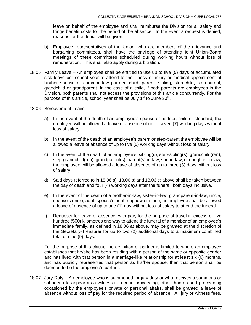leave on behalf of the employee and shall reimburse the Division for all salary and fringe benefit costs for the period of the absence. In the event a request is denied, reasons for the denial will be given.

- b) Employee representatives of the Union, who are members of the grievance and bargaining committees, shall have the privilege of attending joint Union-Board meetings of these committees scheduled during working hours without loss of remuneration. This shall also apply during arbitration.
- 18.05 Family Leave An employee shall be entitled to use up to five (5) days of accumulated sick leave per school year to attend to the illness or injury or medical appointment of his/her spouse or common-law partner, child, parent, sibling, step-child, step-parent, grandchild or grandparent. In the case of a child, if both parents are employees in the Division, both parents shall not access the provisions of this article concurrently. For the purpose of this article, school year shall be July 1<sup>st</sup> to June 30<sup>th</sup>.

#### 18.06 Bereavement Leave –

- a) In the event of the death of an employee's spouse or partner, child or stepchild, the employee will be allowed a leave of absence of up to seven (7) working days without loss of salary.
- b) In the event of the death of an employee's parent or step-parent the employee will be allowed a leave of absence of up to five (5) working days without loss of salary.
- c) In the event of the death of an employee's sibling(s), step-sibling(s), grandchild(ren), step-grandchild(ren), grandparent(s), parent(s)-in-law, son-in-law, or daughter-in-law, the employee will be allowed a leave of absence of up to three (3) days without loss of salary.
- d) Said days referred to in 18.06 a), 18.06 b) and 18.06 c) above shall be taken between the day of death and four (4) working days after the funeral, both days inclusive.
- e) In the event of the death of a brother-in-law, sister-in-law, grandparent-in-law, uncle, spouse's uncle, aunt, spouse's aunt, nephew or niece, an employee shall be allowed a leave of absence of up to one (1) day without loss of salary to attend the funeral.
- f) Requests for leave of absence, with pay, for the purpose of travel in excess of five hundred (500) kilometres one way to attend the funeral of a member of an employee's immediate family, as defined in 18.06 a) above, may be granted at the discretion of the Secretary-Treasurer for up to two (2) additional days to a maximum combined total of nine (9) days.

For the purpose of this clause the definition of partner is limited to where an employee establishes that he/she has been residing with a person of the same or opposite gender and has lived with that person in a marriage-like relationship for at least six (6) months, and has publicly represented that person as his/her spouse, then that person shall be deemed to be the employee's partner.

18.07 Jury Duty – An employee who is summoned for jury duty or who receives a summons or subpoena to appear as a witness in a court proceeding, other than a court proceeding occasioned by the employee's private or personal affairs, shall be granted a leave of absence without loss of pay for the required period of absence. All jury or witness fees,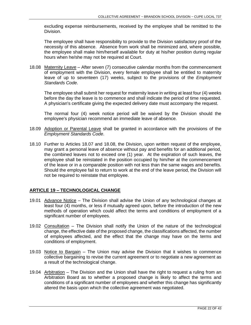excluding expense reimbursements, received by the employee shall be remitted to the Division.

The employee shall have responsibility to provide to the Division satisfactory proof of the necessity of this absence. Absence from work shall be minimized and, where possible, the employee shall make him/herself available for duty at his/her position during regular hours when he/she may not be required at Court.

18.08 Maternity Leave - After seven (7) consecutive calendar months from the commencement of employment with the Division, every female employee shall be entitled to maternity leave of up to seventeen (17) weeks, subject to the provisions of the *Employment Standards Code*.

The employee shall submit her request for maternity leave in writing at least four (4) weeks before the day the leave is to commence and shall indicate the period of time requested. A physician's certificate giving the expected delivery date must accompany the request.

The normal four (4) week notice period will be waived by the Division should the employee's physician recommend an immediate leave of absence.

- 18.09 Adoption or Parental Leave shall be granted in accordance with the provisions of the *Employment Standards Code*.
- 18.10 Further to Articles 18.07 and 18.08, the Division, upon written request of the employee, may grant a personal leave of absence without pay and benefits for an additional period, the combined leaves not to exceed one (1) year. At the expiration of such leaves, the employee shall be reinstated in the position occupied by him/her at the commencement of the leave or in a comparable position with not less than the same wages and benefits. Should the employee fail to return to work at the end of the leave period, the Division will not be required to reinstate that employee.

## <span id="page-23-0"></span>**ARTICLE 19 – TECHNOLOGICAL CHANGE**

- 19.01 Advance Notice The Division shall advise the Union of any technological changes at least four (4) months, or less if mutually agreed upon, before the introduction of the new methods of operation which could affect the terms and conditions of employment of a significant number of employees.
- 19.02 Consultation The Division shall notify the Union of the nature of the technological change, the effective date of the proposed change, the classifications affected, the number of employees affected, and the effect that the change may have on the terms and conditions of employment.
- 19.03 Notice to Bargain The Union may advise the Division that it wishes to commence collective bargaining to revise the current agreement or to negotiate a new agreement as a result of the technological change.
- 19.04 Arbitration The Division and the Union shall have the right to request a ruling from an Arbitration Board as to whether a proposed change is likely to affect the terms and conditions of a significant number of employees and whether this change has significantly altered the basis upon which the collective agreement was negotiated.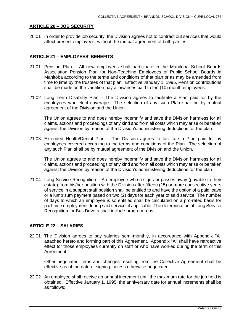#### <span id="page-24-0"></span>**ARTICLE 20 – JOB SECURITY**

20.01 In order to provide job security, the Division agrees not to contract out services that would affect present employees, without the mutual agreement of both parties.

## <span id="page-24-1"></span>**ARTICLE 21 – EMPLOYEES' BENEFITS**

- 21.01 Pension Plan All new employees shall participate in the Manitoba School Boards Association Pension Plan for Non-Teaching Employees of Public School Boards in Manitoba according to the terms and conditions of that plan or as may be amended from time to time by the trustees of that plan. Effective January 1, 1995, Pension contributions shall be made on the vacation pay allowances paid to ten (10) month employees.
- 21.02 Long Term Disability Plan The Division agrees to facilitate a Plan paid for by the employees who elect coverage. The selection of any such Plan shall be by mutual agreement of the Division and the Union.

The Union agrees to and does hereby indemnify and save the Division harmless for all claims, actions and proceedings of any kind and from all costs which may arise or be taken against the Division by reason of the Division's administering deductions for the plan.

21.03 Extended Health/Dental Plan - The Division agrees to facilitate a Plan paid for by employees covered according to the terms and conditions of the Plan. The selection of any such Plan shall be by mutual agreement of the Division and the Union.

The Union agrees to and does hereby indemnify and save the Division harmless for all claims, actions and proceedings of any kind and from all costs which may arise or be taken against the Division by reason of the Division's administering deductions for the plan.

21.04 Long Service Recognition – An employee who resigns or passes away (payable to their estate) from his/her position with the Division after fifteen (15) or more consecutive years of service in a support staff position shall be entitled to and have the option of a paid leave or a lump sum payment based on two (2) days for each year of said service. The number of days to which an employee is so entitled shall be calculated on a pro-rated basis for part-time employment during said service, if applicable. The determination of Long Service Recognition for Bus Drivers shall include program runs.

## <span id="page-24-2"></span>**ARTICLE 22 – SALARIES**

22.01 The Division agrees to pay salaries semi-monthly, in accordance with Appendix "A" attached hereto and forming part of this Agreement. Appendix "A" shall have retroactive effect for those employees currently on staff or who have worked during the term of this Agreement.

Other negotiated items and changes resulting from the Collective Agreement shall be effective as of the date of signing, unless otherwise negotiated.

22.02 An employee shall receive an annual increment until the maximum rate for the job held is obtained. Effective January 1, 1995, the anniversary date for annual increments shall be as follows: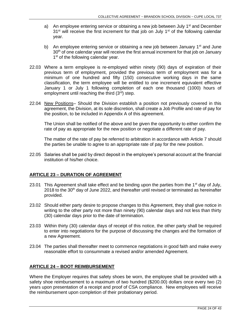- a) An employee entering service or obtaining a new job between July  $1<sup>st</sup>$  and December  $31<sup>st</sup>$  will receive the first increment for that job on July 1<sup>st</sup> of the following calendar year.
- b) An employee entering service or obtaining a new job between January  $1<sup>st</sup>$  and June 30<sup>th</sup> of one calendar year will receive the first annual increment for that job on January 1<sup>st</sup> of the following calendar year.
- 22.03 Where a term employee is re-employed within ninety (90) days of expiration of their previous term of employment, provided the previous term of employment was for a minimum of one hundred and fifty (150) consecutive working days in the same classification, the term employee will be entitled to one increment equivalent effective January 1 or July 1 following completion of each one thousand (1000) hours of employment until reaching the third (3rd) step.
- 22.04 New Positions- Should the Division establish a position not previously covered in this agreement, the Division, at its sole discretion, shall create a Job Profile and rate of pay for the position, to be included in Appendix A of this agreement.

The Union shall be notified of the above and be given the opportunity to either confirm the rate of pay as appropriate for the new position or negotiate a different rate of pay.

The matter of the rate of pay be referred to arbitration in accordance with Article 7 should the parties be unable to agree to an appropriate rate of pay for the new position.

22.05 Salaries shall be paid by direct deposit in the employee's personal account at the financial institution of his/her choice.

## <span id="page-25-0"></span>**ARTICLE 23 – DURATION OF AGREEMENT**

- 23.01 This Agreement shall take effect and be binding upon the parties from the 1<sup>st</sup> day of July, 2018 to the 30<sup>th</sup> day of June 2022, and thereafter until revised or terminated as hereinafter provided.
- 23.02 Should either party desire to propose changes to this Agreement, they shall give notice in writing to the other party not more than ninety (90) calendar days and not less than thirty (30) calendar days prior to the date of termination.
- 23.03 Within thirty (30) calendar days of receipt of this notice, the other party shall be required to enter into negotiations for the purpose of discussing the changes and the formation of a new Agreement.
- <span id="page-25-1"></span>23.04 The parties shall thereafter meet to commence negotiations in good faith and make every reasonable effort to consummate a revised and/or amended Agreement.

## **ARTICLE 24 – BOOT REIMBURSEMENT**

Where the Employer requires that safety shoes be worn, the employee shall be provided with a safety shoe reimbursement to a maximum of two hundred (\$200.00) dollars once every two (2) years upon presentation of a receipt and proof of CSA compliance. New employees will receive the reimbursement upon completion of their probationary period.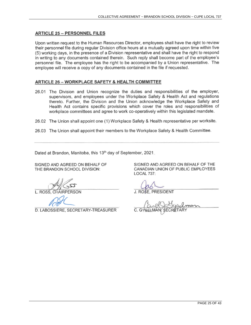## <span id="page-26-0"></span>**ARTICLE 25 - PERSONNEL FILES**

Upon written request to the Human Resources Director, employees shall have the right to review their personnel file during regular Division office hours at a mutually agreed upon time within five (5) working days, in the presence of a Division representative and shall have the right to respond in writing to any documents contained therein. Such reply shall become part of the employee's personnel file. The employee has the right to be accompanied by a Union representative. The employee will receive a copy of any documents contained in the file if requested.

#### <span id="page-26-1"></span>ARTICLE 26 - WORKPLACE SAFETY & HEALTH COMMITTEE

- 26.01 The Division and Union recognize the duties and responsibilities of the employer, supervisors, and employees under the Workplace Safety & Health Act and regulations thereto. Further, the Division and the Union acknowledge the Workplace Safety and Health Act contains specific provisions which cover the roles and responsibilities of workplace committees and agree to work co-operatively within this legislated mandate.
- 26.02 The Union shall appoint one (1) Workplace Safety & Health representative per worksite.
- 26.03 The Union shall appoint their members to the Workplace Safety & Health Committee.

Dated at Brandon, Manitoba, this 13th day of September, 2021.

SIGNED AND AGREED ON BEHALF OF THE BRANDON SCHOOL DIVISION:

L. ROSS, CHAIRPERSON

D. LABOSSIERE, SECRETARY-TREASURER

J. ROSE, PRESIDENT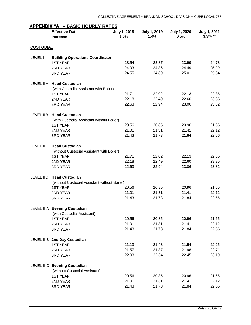<span id="page-27-0"></span>

|                  | <b>Effective Date</b><br><b>Increase</b>     | July 1, 2018<br>1.6% | July 1, 2019<br>1.4% | <b>July 1, 2020</b><br>0.5% | July 1, 2021<br>3.3% ** |
|------------------|----------------------------------------------|----------------------|----------------------|-----------------------------|-------------------------|
|                  |                                              |                      |                      |                             |                         |
| <b>CUSTODIAL</b> |                                              |                      |                      |                             |                         |
| <b>LEVEL1</b>    | <b>Building Operations Coordinator</b>       |                      |                      |                             |                         |
|                  | <b>1ST YEAR</b>                              | 23.54                | 23.87                | 23.99                       | 24.78                   |
|                  | 2ND YEAR                                     | 24.03                | 24.36                | 24.49                       | 25.29                   |
|                  | 3RD YEAR                                     | 24.55                | 24.89                | 25.01                       | 25.84                   |
| LEVEL II A       | <b>Head Custodian</b>                        |                      |                      |                             |                         |
|                  | (with Custodial Assistant with Boiler)       |                      |                      |                             |                         |
|                  | <b>1ST YEAR</b>                              | 21.71                | 22.02                | 22.13                       | 22.86                   |
|                  | 2ND YEAR                                     | 22.18                | 22.49                | 22.60                       | 23.35                   |
|                  | 3RD YEAR                                     | 22.63                | 22.94                | 23.06                       | 23.82                   |
| LEVEL II B       | <b>Head Custodian</b>                        |                      |                      |                             |                         |
|                  | (with Custodial Assistant without Boiler)    |                      |                      |                             |                         |
|                  | <b>1ST YEAR</b>                              | 20.56                | 20.85                | 20.96                       | 21.65                   |
|                  | 2ND YEAR                                     | 21.01                | 21.31                | 21.41                       | 22.12                   |
|                  | 3RD YEAR                                     | 21.43                | 21.73                | 21.84                       | 22.56                   |
| LEVEL II C       | <b>Head Custodian</b>                        |                      |                      |                             |                         |
|                  | (without Custodial Assistant with Boiler)    |                      |                      |                             |                         |
|                  | <b>1ST YEAR</b>                              | 21.71                | 22.02                | 22.13                       | 22.86                   |
|                  | 2ND YEAR                                     | 22.18                | 22.49                | 22.60                       | 23.35                   |
|                  | 3RD YEAR                                     | 22.63                | 22.94                | 23.06                       | 23.82                   |
| LEVEL II D       | <b>Head Custodian</b>                        |                      |                      |                             |                         |
|                  | (without Custodial Assistant without Boiler) |                      |                      |                             |                         |
|                  | <b>1ST YEAR</b>                              | 20.56                | 20.85                | 20.96                       | 21.65                   |
|                  | 2ND YEAR                                     | 21.01                | 21.31                | 21.41                       | 22.12                   |
|                  | 3RD YEAR                                     | 21.43                | 21.73                | 21.84                       | 22.56                   |
|                  | LEVEL III A Evening Custodian                |                      |                      |                             |                         |
|                  | (with Custodial Assistant)                   |                      |                      |                             |                         |
|                  | <b>1ST YEAR</b>                              | 20.56                | 20.85                | 20.96                       | 21.65                   |
|                  | 2ND YEAR                                     | 21.01                | 21.31                | 21.41                       | 22.12                   |
|                  | 3RD YEAR                                     | 21.43                | 21.73                | 21.84                       | 22.56                   |
|                  | LEVEL III B 2nd Day Custodian                |                      |                      |                             |                         |
|                  | <b>1ST YEAR</b>                              | 21.13                | 21.43                | 21.54                       | 22.25                   |
|                  | 2ND YEAR                                     | 21.57                | 21.87                | 21.98                       | 22.71                   |
|                  | 3RD YEAR                                     | 22.03                | 22.34                | 22.45                       | 23.19                   |
|                  | LEVEL III C Evening Custodian                |                      |                      |                             |                         |
|                  | (without Custodial Assistant)                |                      |                      |                             |                         |
|                  | <b>1ST YEAR</b>                              | 20.56                | 20.85                | 20.96                       | 21.65                   |
|                  | 2ND YEAR                                     | 21.01                | 21.31                | 21.41                       | 22.12                   |
|                  | 3RD YEAR                                     | 21.43                | 21.73                | 21.84                       | 22.56                   |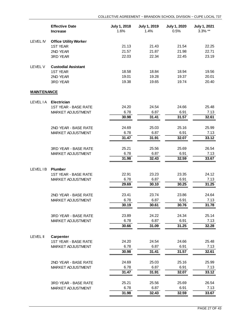|                    | <b>Effective Date</b><br><b>Increase</b> | July 1, 2018<br>1.6% | July 1, 2019<br>1.4% | <b>July 1, 2020</b><br>0.5% | <b>July 1, 2021</b><br>3.3% ** |
|--------------------|------------------------------------------|----------------------|----------------------|-----------------------------|--------------------------------|
| <b>LEVEL IV</b>    | <b>Office Utility Worker</b>             |                      |                      |                             |                                |
|                    | <b>1ST YEAR</b>                          | 21.13                | 21.43                | 21.54                       | 22.25                          |
|                    | 2ND YEAR                                 | 21.57                | 21.87                | 21.98                       | 22.71                          |
|                    | 3RD YEAR                                 | 22.03                | 22.34                | 22.45                       | 23.19                          |
| <b>LEVEL V</b>     | <b>Custodial Assistant</b>               |                      |                      |                             |                                |
|                    | <b>1ST YEAR</b>                          | 18.58                | 18.84                | 18.94                       | 19.56                          |
|                    | 2ND YEAR                                 | 19.01                | 19.28                | 19.37                       | 20.01                          |
|                    | 3RD YEAR                                 | 19.38                | 19.65                | 19.74                       | 20.40                          |
| <b>MAINTENANCE</b> |                                          |                      |                      |                             |                                |
| <b>LEVEL IA</b>    | <b>Electrician</b>                       |                      |                      |                             |                                |
|                    | <b>1ST YEAR - BASE RATE</b>              | 24.20                | 24.54                | 24.66                       | 25.48                          |
|                    | MARKET ADJUSTMENT                        | 6.78                 | 6.87                 | 6.91                        | 7.13                           |
|                    |                                          | 30.98                | 31.41                | 31.57                       | 32.61                          |
|                    | 2ND YEAR - BASE RATE                     | 24.69                | 25.03                | 25.16                       | 25.99                          |
|                    | MARKET ADJUSTMENT                        | 6.78                 | 6.87                 | 6.91                        | 7.13                           |
|                    |                                          | 31.47                | 31.91                | 32.07                       | 33.12                          |
|                    | 3RD YEAR - BASE RATE                     | 25.21                | 25.56                | 25.69                       | 26.54                          |
|                    | MARKET ADJUSTMENT                        | 6.78                 | 6.87                 | 6.91                        | 7.13                           |
|                    |                                          | 31.98                | 32.43                | 32.59                       | 33.67                          |
| LEVEL IB           | <b>Plumber</b>                           |                      |                      |                             |                                |
|                    | <b>1ST YEAR - BASE RATE</b>              | 22.91                | 23.23                | 23.35                       | 24.12                          |
|                    | MARKET ADJUSTMENT                        | 6.78                 | 6.87                 | 6.91                        | 7.13                           |
|                    |                                          | 29.69                | 30.10                | 30.25                       | 31.25                          |
|                    | 2ND YEAR - BASE RATE                     | 23.41                | 23.74                | 23.86                       | 24.64                          |
|                    | MARKET ADJUSTMENT                        | 6.78                 | 6.87                 | 6.91                        | 7.13                           |
|                    |                                          | 30.19                | 30.61                | 30.76                       | 31.78                          |
|                    | <b>3RD YEAR - BASE RATE</b>              | 23.89                | 24.22                | 24.34                       | 25.14                          |
|                    | MARKET ADJUSTMENT                        | 6.78                 | 6.87                 | 6.91                        | 7.13                           |
|                    |                                          | 30.66                | 31.09                | 31.25                       | 32.28                          |
| <b>LEVEL II</b>    | <b>Carpenter</b>                         |                      |                      |                             |                                |
|                    | <b>1ST YEAR - BASE RATE</b>              | 24.20                | 24.54                | 24.66                       | 25.48                          |
|                    | MARKET ADJUSTMENT                        | 6.78                 | 6.87                 | 6.91                        | 7.13                           |
|                    |                                          | 30.98                | 31.41                | 31.57                       | 32.61                          |
|                    | 2ND YEAR - BASE RATE                     | 24.69                | 25.03                | 25.16                       | 25.99                          |
|                    | MARKET ADJUSTMENT                        | 6.78                 | 6.87                 | 6.91                        | 7.13                           |
|                    |                                          | 31.47                | 31.91                | 32.07                       | 33.12                          |
|                    | 3RD YEAR - BASE RATE                     | 25.21                | 25.56                | 25.69                       | 26.54                          |
|                    | MARKET ADJUSTMENT                        | 6.78                 | 6.87                 | 6.91                        | 7.13                           |
|                    |                                          | 31.98                | 32.43                | 32.59                       | 33.67                          |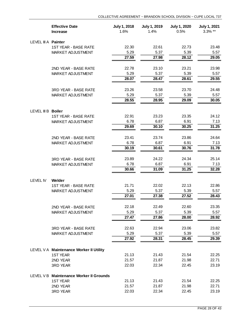|                     | <b>Effective Date</b><br><b>Increase</b> | July 1, 2018<br>1.6% | July 1, 2019<br>1.4% | <b>July 1, 2020</b><br>0.5% | <b>July 1, 2021</b><br>3.3% ** |
|---------------------|------------------------------------------|----------------------|----------------------|-----------------------------|--------------------------------|
| LEVEL III A Painter |                                          |                      |                      |                             |                                |
|                     | <b>1ST YEAR - BASE RATE</b>              | 22.30                | 22.61                | 22.73                       | 23.48                          |
|                     | MARKET ADJUSTMENT                        | 5.29                 | 5.37                 | 5.39                        | 5.57                           |
|                     |                                          | 27.59                | 27.98                | 28.12                       | 29.05                          |
|                     | 2ND YEAR - BASE RATE                     | 22.78                | 23.10                | 23.21                       | 23.98                          |
|                     | MARKET ADJUSTMENT                        | 5.29                 | 5.37                 | 5.39                        | 5.57                           |
|                     |                                          | 28.07                | 28.47                | 28.61                       | 29.55                          |
|                     | 3RD YEAR - BASE RATE                     | 23.26                | 23.58                | 23.70                       | 24.48                          |
|                     | MARKET ADJUSTMENT                        | 5.29                 | 5.37                 | 5.39                        | 5.57                           |
|                     |                                          | 28.55                | 28.95                | 29.09                       | 30.05                          |
| LEVEL III B Boiler  |                                          |                      |                      |                             |                                |
|                     | <b>1ST YEAR - BASE RATE</b>              | 22.91                | 23.23                | 23.35                       | 24.12                          |
|                     | MARKET ADJUSTMENT                        | 6.78                 | 6.87                 | 6.91                        | 7.13                           |
|                     |                                          | 29.69                | 30.10                | 30.25                       | 31.25                          |
|                     | 2ND YEAR - BASE RATE                     | 23.41                | 23.74                | 23.86                       | 24.64                          |
|                     | MARKET ADJUSTMENT                        | 6.78                 | 6.87                 | 6.91                        | 7.13                           |
|                     |                                          | 30.19                | 30.61                | 30.76                       | 31.78                          |
|                     | 3RD YEAR - BASE RATE                     | 23.89                | 24.22                | 24.34                       | 25.14                          |
|                     | MARKET ADJUSTMENT                        | 6.78                 | 6.87                 | 6.91                        | 7.13                           |
|                     |                                          | 30.66                | 31.09                | 31.25                       | 32.28                          |
| LEVEL IV            | Welder                                   |                      |                      |                             |                                |
|                     | <b>1ST YEAR - BASE RATE</b>              | 21.71                | 22.02                | 22.13                       | 22.86                          |
|                     | MARKET ADJUSTMENT                        | 5.29                 | 5.37                 | 5.39                        | 5.57                           |
|                     |                                          | 27.01                | 27.38                | 27.52                       | 28.43                          |
|                     | 2ND YEAR - BASE RATE                     | 22.18                | 22.49                | 22.60                       | 23.35                          |
|                     | MARKET ADJUSTMENT                        | 5.29                 | 5.37                 | 5.39                        | 5.57                           |
|                     |                                          | 27.47                | 27.86                | 28.00                       | 28.92                          |
|                     | 3RD YEAR - BASE RATE                     | 22.63                | 22.94                | 23.06                       | 23.82                          |
|                     | MARKET ADJUSTMENT                        | 5.29                 | 5.37                 | 5.39                        | 5.57                           |
|                     |                                          | 27.92                | 28.31                | 28.45                       | 29.39                          |
|                     | LEVEL V A Maintenance Worker II Utility  |                      |                      |                             |                                |
|                     | <b>1ST YEAR</b>                          | 21.13                | 21.43                | 21.54                       | 22.25                          |
|                     | 2ND YEAR                                 | 21.57                | 21.87                | 21.98                       | 22.71                          |
|                     | 3RD YEAR                                 | 22.03                | 22.34                | 22.45                       | 23.19                          |
|                     | LEVEL V B Maintenance Worker II Grounds  |                      |                      |                             |                                |
|                     | <b>1ST YEAR</b>                          | 21.13                | 21.43                | 21.54                       | 22.25                          |
|                     | 2ND YEAR                                 | 21.57                | 21.87                | 21.98                       | 22.71                          |
|                     | 3RD YEAR                                 | 22.03                | 22.34                | 22.45                       | 23.19                          |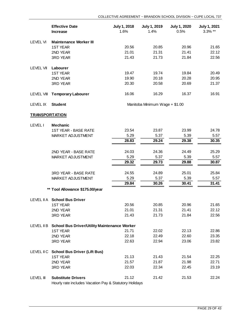|                       | <b>Effective Date</b><br><b>Increase</b>        | <b>July 1, 2018</b><br>1.6% | <b>July 1, 2019</b><br>1.4%    | <b>July 1, 2020</b><br>0.5% | <b>July 1, 2021</b><br>$3.3\%$ ** |
|-----------------------|-------------------------------------------------|-----------------------------|--------------------------------|-----------------------------|-----------------------------------|
| <b>LEVEL VI</b>       | <b>Maintenance Worker III</b>                   |                             |                                |                             |                                   |
|                       | <b>1ST YEAR</b>                                 | 20.56                       | 20.85                          | 20.96                       | 21.65                             |
|                       | 2ND YEAR                                        | 21.01                       | 21.31                          | 21.41                       | 22.12                             |
|                       | <b>3RD YEAR</b>                                 | 21.43                       | 21.73                          | 21.84                       | 22.56                             |
| LEVEL VII             | Labourer                                        |                             |                                |                             |                                   |
|                       | <b>1ST YEAR</b>                                 | 19.47                       | 19.74                          | 19.84                       | 20.49                             |
|                       | 2ND YEAR                                        | 19.90                       | 20.18                          | 20.28                       | 20.95                             |
|                       | 3RD YEAR                                        | 20.30                       | 20.58                          | 20.69                       | 21.37                             |
| LEVEL VIII            | <b>Temporary Labourer</b>                       | 16.06                       | 16.29                          | 16.37                       | 16.91                             |
| LEVEL IX              | <b>Student</b>                                  |                             | Manitoba Minimum Wage + \$1.00 |                             |                                   |
| <b>TRANSPORTATION</b> |                                                 |                             |                                |                             |                                   |
| <b>LEVEL I</b>        | <b>Mechanic</b><br><b>ICT VE AD _ RACE DATE</b> | 23.54                       | 23.R7                          | 23.00                       | 24. 78                            |

|                  | 1ST YEAR - BASE RATE                                     | 23.54 | 23.87 | 23.99 | 24.78 |
|------------------|----------------------------------------------------------|-------|-------|-------|-------|
|                  | MARKET ADJUSTMENT                                        | 5.29  | 5.37  | 5.39  | 5.57  |
|                  |                                                          | 28.83 | 29.24 | 29.38 | 30.35 |
|                  |                                                          |       |       |       |       |
|                  | 2ND YEAR - BASE RATE                                     | 24.03 | 24.36 | 24.49 | 25.29 |
|                  | MARKET ADJUSTMENT                                        | 5.29  | 5.37  | 5.39  | 5.57  |
|                  |                                                          | 29.32 | 29.73 | 29.88 | 30.87 |
|                  | <b>3RD YEAR - BASE RATE</b>                              | 24.55 | 24.89 | 25.01 | 25.84 |
|                  | MARKET ADJUSTMENT                                        | 5.29  | 5.37  | 5.39  | 5.57  |
|                  |                                                          | 29.84 | 30.26 | 30.41 | 31.41 |
|                  | ** Tool Allowance \$175.00/year                          |       |       |       |       |
|                  | LEVEL II A School Bus Driver                             |       |       |       |       |
|                  | <b>1ST YEAR</b>                                          | 20.56 | 20.85 | 20.96 | 21.65 |
|                  | 2ND YEAR                                                 | 21.01 | 21.31 | 21.41 | 22.12 |
|                  | <b>3RD YEAR</b>                                          | 21.43 | 21.73 | 21.84 | 22.56 |
| LEVEL II B       | <b>School Bus Driver/Utility Maintenance Worker</b>      |       |       |       |       |
|                  | <b>1ST YEAR</b>                                          | 21.71 | 22.02 | 22.13 | 22.86 |
|                  | 2ND YEAR                                                 | 22.18 | 22.49 | 22.60 | 23.35 |
|                  | 3RD YEAR                                                 | 22.63 | 22.94 | 23.06 | 23.82 |
|                  | LEVEL IIC School Bus Driver (Lift Bus)                   |       |       |       |       |
|                  | <b>1ST YEAR</b>                                          | 21.13 | 21.43 | 21.54 | 22.25 |
|                  | 2ND YEAR                                                 | 21.57 | 21.87 | 21.98 | 22.71 |
|                  | <b>3RD YEAR</b>                                          | 22.03 | 22.34 | 22.45 | 23.19 |
| <b>LEVEL III</b> | <b>Substitute Drivers</b>                                | 21.12 | 21.42 | 21.53 | 22.24 |
|                  | Lleurly rote includes Vesstien Day 8 Ctatutery Llelidays |       |       |       |       |

Hourly rate includes Vacation Pay & Statutory Holidays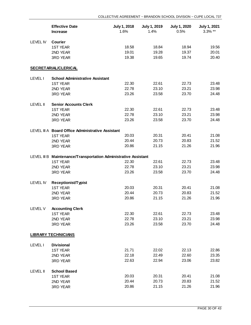|                 | <b>Effective Date</b><br><b>Increase</b>                        | July 1, 2018<br>1.6% | July 1, 2019<br>1.4% | <b>July 1, 2020</b><br>0.5% | July 1, 2021<br>3.3% ** |
|-----------------|-----------------------------------------------------------------|----------------------|----------------------|-----------------------------|-------------------------|
| LEVEL IV        | Courier                                                         |                      |                      |                             |                         |
|                 | <b>1ST YEAR</b>                                                 | 18.58                | 18.84                | 18.94                       | 19.56                   |
|                 | 2ND YEAR                                                        | 19.01                | 19.28                | 19.37                       | 20.01                   |
|                 | 3RD YEAR                                                        | 19.38                | 19.65                | 19.74                       | 20.40                   |
|                 | <b>SECRETARIAL/CLERICAL</b>                                     |                      |                      |                             |                         |
| <b>LEVEL I</b>  | <b>School Administrative Assistant</b>                          |                      |                      |                             |                         |
|                 | <b>1ST YEAR</b>                                                 | 22.30                | 22.61                | 22.73                       | 23.48                   |
|                 | 2ND YEAR                                                        | 22.78                | 23.10                | 23.21                       | 23.98                   |
|                 | 3RD YEAR                                                        | 23.26                | 23.58                | 23.70                       | 24.48                   |
| <b>LEVEL II</b> | <b>Senior Accounts Clerk</b>                                    |                      |                      |                             |                         |
|                 | <b>1ST YEAR</b>                                                 | 22.30                | 22.61                | 22.73                       | 23.48                   |
|                 | 2ND YEAR                                                        | 22.78                | 23.10                | 23.21                       | 23.98                   |
|                 | <b>3RD YEAR</b>                                                 | 23.26                | 23.58                | 23.70                       | 24.48                   |
|                 | LEVEL III A Board Office Administrative Assistant               |                      |                      |                             |                         |
|                 | <b>1ST YEAR</b>                                                 | 20.03                | 20.31                | 20.41                       | 21.08                   |
|                 | 2ND YEAR                                                        | 20.44                | 20.73                | 20.83                       | 21.52                   |
|                 | 3RD YEAR                                                        | 20.86                | 21.15                | 21.26                       | 21.96                   |
|                 | LEVEL III B Maintenance/Transportation Administrative Assistant |                      |                      |                             |                         |
|                 | <b>1ST YEAR</b>                                                 | 22.30                | 22.61                | 22.73                       | 23.48                   |
|                 | 2ND YEAR                                                        | 22.78                | 23.10                | 23.21                       | 23.98                   |
|                 | 3RD YEAR                                                        | 23.26                | 23.58                | 23.70                       | 24.48                   |
| <b>LEVEL IV</b> | <b>Receptionist/Typist</b>                                      |                      |                      |                             |                         |
|                 | <b>1ST YEAR</b>                                                 | 20.03                | 20.31                | 20.41                       | 21.08                   |
|                 | 2ND YEAR                                                        | 20.44                | 20.73                | 20.83                       | 21.52                   |
|                 | 3RD YEAR                                                        | 20.86                | 21.15                | 21.26                       | 21.96                   |
| LEVEL V         | <b>Accounting Clerk</b>                                         |                      |                      |                             |                         |
|                 | <b>1ST YEAR</b>                                                 | 22.30                | 22.61                | 22.73                       | 23.48                   |
|                 | 2ND YEAR                                                        | 22.78                | 23.10                | 23.21                       | 23.98                   |
|                 | 3RD YEAR                                                        | 23.26                | 23.58                | 23.70                       | 24.48                   |
|                 | <b>LIBRARY TECHNICIANS</b>                                      |                      |                      |                             |                         |
| <b>LEVEL I</b>  | <b>Divisional</b>                                               |                      |                      |                             |                         |
|                 | <b>1ST YEAR</b>                                                 | 21.71                | 22.02                | 22.13                       | 22.86                   |
|                 | 2ND YEAR                                                        | 22.18                | 22.49                | 22.60                       | 23.35                   |
|                 | 3RD YEAR                                                        | 22.63                | 22.94                | 23.06                       | 23.82                   |
| <b>LEVEL II</b> | <b>School Based</b>                                             |                      |                      |                             |                         |
|                 | <b>1ST YEAR</b>                                                 | 20.03                | 20.31                | 20.41                       | 21.08                   |
|                 | 2ND YEAR                                                        | 20.44                | 20.73                | 20.83                       | 21.52                   |
|                 | 3RD YEAR                                                        | 20.86                | 21.15                | 21.26                       | 21.96                   |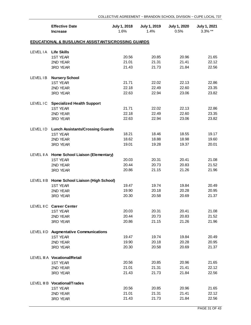|                 | <b>Effective Date</b><br><b>Increase</b>           | July 1, 2018<br>1.6% | July 1, 2019<br>1.4% | <b>July 1, 2020</b><br>0.5% | <b>July 1, 2021</b><br>$3.3\%$ ** |  |  |  |  |
|-----------------|----------------------------------------------------|----------------------|----------------------|-----------------------------|-----------------------------------|--|--|--|--|
|                 | EDUCATIONAL & BUS/LUNCH ASSISTANTS/CROSSING GUARDS |                      |                      |                             |                                   |  |  |  |  |
| <b>LEVEL IA</b> | <b>Life Skills</b>                                 |                      |                      |                             |                                   |  |  |  |  |
|                 | <b>1ST YEAR</b>                                    | 20.56                | 20.85                | 20.96                       | 21.65                             |  |  |  |  |
|                 | 2ND YEAR                                           | 21.01                | 21.31                | 21.41                       | 22.12                             |  |  |  |  |
|                 | 3RD YEAR                                           | 21.43                | 21.73                | 21.84                       | 22.56                             |  |  |  |  |
| LEVEL IB        | <b>Nursery School</b>                              |                      |                      |                             |                                   |  |  |  |  |
|                 | <b>1ST YEAR</b>                                    | 21.71                | 22.02                | 22.13                       | 22.86                             |  |  |  |  |
|                 | 2ND YEAR                                           | 22.18                | 22.49                | 22.60                       | 23.35                             |  |  |  |  |
|                 | 3RD YEAR                                           | 22.63                | 22.94                | 23.06                       | 23.82                             |  |  |  |  |
| <b>LEVELIC</b>  | <b>Specialized Health Support</b>                  |                      |                      |                             |                                   |  |  |  |  |
|                 | <b>1ST YEAR</b>                                    | 21.71                | 22.02                | 22.13                       | 22.86                             |  |  |  |  |
|                 | 2ND YEAR                                           | 22.18                | 22.49                | 22.60                       | 23.35                             |  |  |  |  |
|                 | 3RD YEAR                                           | 22.63                | 22.94                | 23.06                       | 23.82                             |  |  |  |  |
| LEVEL ID        | <b>Lunch Assistants/Crossing Guards</b>            |                      |                      |                             |                                   |  |  |  |  |
|                 | <b>1ST YEAR</b>                                    | 18.21                | 18.46                | 18.55                       | 19.17                             |  |  |  |  |
|                 | 2ND YEAR                                           | 18.62                | 18.88                | 18.98                       | 19.60                             |  |  |  |  |
|                 | 3RD YEAR                                           | 19.01                | 19.28                | 19.37                       | 20.01                             |  |  |  |  |
|                 | LEVEL II A Home School Liaison (Elementary)        |                      |                      |                             |                                   |  |  |  |  |
|                 | <b>1ST YEAR</b>                                    | 20.03                | 20.31                | 20.41                       | 21.08                             |  |  |  |  |
|                 | 2ND YEAR                                           | 20.44                | 20.73                | 20.83                       | 21.52                             |  |  |  |  |
|                 | 3RD YEAR                                           | 20.86                | 21.15                | 21.26                       | 21.96                             |  |  |  |  |
|                 | LEVEL II B Home School Liaison (High School)       |                      |                      |                             |                                   |  |  |  |  |
|                 | <b>1ST YEAR</b>                                    | 19.47                | 19.74                | 19.84                       | 20.49                             |  |  |  |  |
|                 | 2ND YEAR                                           | 19.90                | 20.18                | 20.28                       | 20.95                             |  |  |  |  |
|                 | 3RD YEAR                                           | 20.30                | 20.58                | 20.69                       | 21.37                             |  |  |  |  |
|                 | LEVEL II C Career Center                           |                      |                      |                             |                                   |  |  |  |  |
|                 | 1ST YEAR                                           | 20.03                | 20.31                | 20.41                       | 21.08                             |  |  |  |  |
|                 | 2ND YEAR                                           | 20.44                | 20.73                | 20.83                       | 21.52                             |  |  |  |  |
|                 | 3RD YEAR                                           | 20.86                | 21.15                | 21.26                       | 21.96                             |  |  |  |  |
|                 | LEVEL IID Augmentative Communications              |                      |                      |                             |                                   |  |  |  |  |
|                 | <b>1ST YEAR</b>                                    | 19.47                | 19.74                | 19.84                       | 20.49                             |  |  |  |  |
|                 | 2ND YEAR                                           | 19.90                | 20.18                | 20.28                       | 20.95                             |  |  |  |  |
|                 | 3RD YEAR                                           | 20.30                | 20.58                | 20.69                       | 21.37                             |  |  |  |  |
|                 | LEVEL III A Vocational/Retail                      |                      |                      |                             |                                   |  |  |  |  |
|                 | <b>1ST YEAR</b>                                    | 20.56                | 20.85                | 20.96                       | 21.65                             |  |  |  |  |
|                 | 2ND YEAR                                           | 21.01                | 21.31                | 21.41                       | 22.12                             |  |  |  |  |
|                 | 3RD YEAR                                           | 21.43                | 21.73                | 21.84                       | 22.56                             |  |  |  |  |
|                 | LEVEL III B Vocational/Trades                      |                      |                      |                             |                                   |  |  |  |  |
|                 | <b>1ST YEAR</b>                                    | 20.56                | 20.85                | 20.96                       | 21.65                             |  |  |  |  |
|                 | 2ND YEAR                                           | 21.01                | 21.31                | 21.41                       | 22.12                             |  |  |  |  |
|                 | 3RD YEAR                                           | 21.43                | 21.73                | 21.84                       | 22.56                             |  |  |  |  |
|                 |                                                    |                      |                      |                             |                                   |  |  |  |  |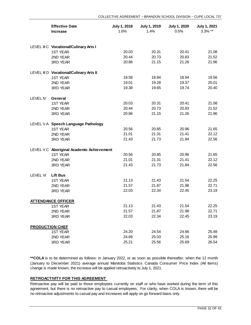|                        | <b>Effective Date</b><br><b>Increase</b>  | July 1, 2018<br>1.6% | <b>July 1, 2019</b><br>1.4% | <b>July 1, 2020</b><br>0.5% | <b>July 1, 2021</b><br>$3.3\%$ ** |
|------------------------|-------------------------------------------|----------------------|-----------------------------|-----------------------------|-----------------------------------|
|                        | LEVEL III C Vocational/Culinary Arts I    |                      |                             |                             |                                   |
|                        | <b>1ST YEAR</b>                           | 20.03                | 20.31                       | 20.41                       | 21.08                             |
|                        | 2ND YEAR                                  | 20.44                | 20.73                       | 20.83                       | 21.52                             |
|                        | 3RD YEAR                                  | 20.86                | 21.15                       | 21.26                       | 21.96                             |
|                        | LEVEL III D Vocational/Culinary Arts II   |                      |                             |                             |                                   |
|                        | <b>1ST YEAR</b>                           | 18.58                | 18.84                       | 18.94                       | 19.56                             |
|                        | 2ND YEAR                                  | 19.01                | 19.28                       | 19.37                       | 20.01                             |
|                        | 3RD YEAR                                  | 19.38                | 19.65                       | 19.74                       | 20.40                             |
| LEVEL IV               | General                                   |                      |                             |                             |                                   |
|                        | <b>1ST YEAR</b>                           | 20.03                | 20.31                       | 20.41                       | 21.08                             |
|                        | 2ND YEAR                                  | 20.44                | 20.73                       | 20.83                       | 21.52                             |
|                        | 3RD YEAR                                  | 20.86                | 21.15                       | 21.26                       | 21.96                             |
|                        | LEVEL V A Speech Language Pathology       |                      |                             |                             |                                   |
|                        | <b>1ST YEAR</b>                           | 20.56                | 20.85                       | 20.96                       | 21.65                             |
|                        | 2ND YEAR                                  | 21.01                | 21.31                       | 21.41                       | 22.12                             |
|                        | 3RD YEAR                                  | 21.43                | 21.73                       | 21.84                       | 22.56                             |
|                        | LEVEL V C Aboriginal Academic Achievement |                      |                             |                             |                                   |
|                        | <b>1ST YEAR</b>                           | 20.56                | 20.85                       | 20.96                       | 21.65                             |
|                        | 2ND YEAR                                  | 21.01                | 21.31                       | 21.41                       | 22.12                             |
|                        | 3RD YEAR                                  | 21.43                | 21.73                       | 21.84                       | 22.56                             |
| <b>LEVEL VI</b>        | <b>Lift Bus</b>                           |                      |                             |                             |                                   |
|                        | <b>1ST YEAR</b>                           | 21.13                | 21.43                       | 21.54                       | 22.25                             |
|                        | 2ND YEAR                                  | 21.57                | 21.87                       | 21.98                       | 22.71                             |
|                        | 3RD YEAR                                  | 22.03                | 22.34                       | 22.45                       | 23.19                             |
|                        | <b>ATTENDANCE OFFICER</b>                 |                      |                             |                             |                                   |
|                        | 1ST YEAR                                  | 21.13                | 21.43                       | 21.54                       | 22.25                             |
|                        | 2ND YEAR                                  | 21.57                | 21.87                       | 21.98                       | 22.71                             |
|                        | 3RD YEAR                                  | 22.03                | 22.34                       | 22.45                       | 23.19                             |
| <b>PRODUCTION CHEF</b> |                                           |                      |                             |                             |                                   |
|                        | <b>1ST YEAR</b>                           | 24.20                | 24.54                       | 24.66                       | 25.48                             |
|                        | 2ND YEAR                                  | 24.69                | 25.03                       | 25.16                       | 25.99                             |
|                        | 3RD YEAR                                  | 25.21                | 25.56                       | 25.69                       | 26.54                             |

**\*\*COLA** is to be determined as follows: in January 2022, or as soon as possible thereafter, when the 12 month (January to December 2021) average annual Manitoba Statistics Canada Consumer Price Index (All Items) change is made known, the increase will be applied retroactively to July 1, 2021.

#### **RETROACTIVITY FOR THIS AGREEMENT**

Retroactive pay will be paid to those employees currently on staff or who have worked during the term of this agreement, but there is no retroactive pay to casual employees. For clarity, when COLA is known, there will be no retroactive adjustments to casual pay and increases will apply on go forward basis only.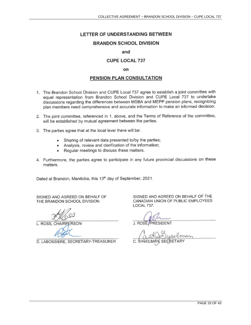## LETTER OF UNDERSTANDING BETWEEN

## **BRANDON SCHOOL DIVISION**

#### and

## **CUPE LOCAL 737**

#### on

### PENSION PLAN CONSULTATION

- 1. The Brandon School Division and CUPE Local 737 agree to establish a joint committee with equal representation from Brandon School Division and CUPE Local 737 to undertake discussions regarding the differences between MSBA and MEPP pension plans, recognizing plan members need comprehensive and accurate information to make an informed decision.
- 2. The joint committee, referenced in 1. above, and the Terms of Reference of the committee, will be established by mutual agreement between the parties.
- 3. The parties agree that at the local level there will be:
	- Sharing of relevant data presented to/by the parties; ٠
	- Analysis, review and clarification of the information; ٠
	- Regular meetings to discuss these matters.  $\bullet$
- 4. Furthermore, the parties agree to participate in any future provincial discussions on these matters.

Dated at Brandon, Manitoba, this 13th day of September, 2021.

SIGNED AND AGREED ON BEHALF OF THE BRANDON SCHOOL DIVISION:

L. ROSS, CHAIRP

D. LABOSSIERE, SECRETARY-TREASURER

J. ROSE/PRESIDENT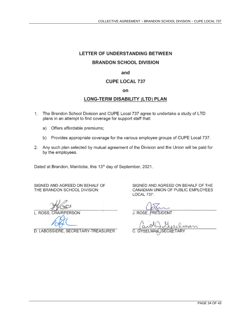# LETTER OF UNDERSTANDING BETWEEN

## **BRANDON SCHOOL DIVISION**

### and

## **CUPE LOCAL 737**

#### on

## LONG-TERM DISABILITY (LTD) PLAN

- 1. The Brandon School Division and CUPE Local 737 agree to undertake a study of LTD plans in an attempt to find coverage for support staff that:
	- a) Offers affordable premiums;
	- b) Provides appropriate coverage for the various employee groups of CUPE Local 737.
- 2. Any such plan selected by mutual agreement of the Division and the Union will be paid for by the employees.

Dated at Brandon, Manitoba, this 13th day of September, 2021.

SIGNED AND AGREED ON BEHALF OF THE BRANDON SCHOOL DIVISION:

L. ROSS. CI **IAIRPERSON** 

D. LABOSSIERE, SECRETARY-TREASURER

J. ROSE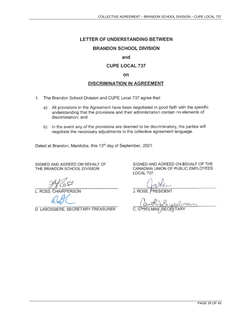# LETTER OF UNDERSTANDING BETWEEN

## **BRANDON SCHOOL DIVISION**

### and

## **CUPE LOCAL 737**

#### on

## **DISCRIMINATION IN AGREEMENT**

- 1. The Brandon School Division and CUPE Local 737 agree that:
	- a) All provisions in the Agreement have been negotiated in good faith with the specific understanding that the provisions and their administration contain no elements of discrimination; and
	- b) In the event any of the provisions are deemed to be discriminatory, the parties will negotiate the necessary adjustments to the collective agreement language.

Dated at Brandon, Manitoba, this 13th day of September, 2021.

SIGNED AND AGREED ON BEHALF OF THE BRANDON SCHOOL DIVISION:

L. ROSS, CHAIRPERSON

D. LABOSSIERE, SECRETARY-TREASURER

J. ROSE, PRESIDENT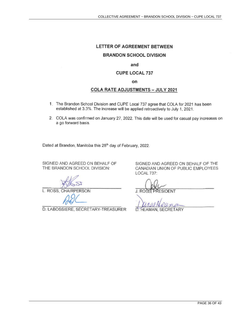## LETTER OF AGREEMENT BETWEEN

#### **BRANDON SCHOOL DIVISION**

#### and

#### **CUPE LOCAL 737**

on

### **COLA RATE ADJUSTMENTS - JULY 2021**

- 1. The Brandon School Division and CUPE Local 737 agree that COLA for 2021 has been established at 3.3%. The increase will be applied retroactively to July 1, 2021.
- 2. COLA was confirmed on January 27, 2022. This date will be used for casual pay increases on a go forward basis.

Dated at Brandon, Manitoba this 28<sup>th</sup> day of February, 2022.

SIGNED AND AGREED ON BEHALF OF THE BRANDON SCHOOL DIVISION:

L. ROSS, CHAIRPERSON

D. LABOSSIERE, SECRETARY-TREASURER

**J. ROSH PRESIDENT** 

 $WQ$ 

Ď HEAMAN, SECRETARY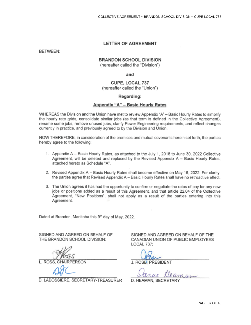#### **LETTER OF AGREEMENT**

**BETWEEN:** 

#### **BRANDON SCHOOL DIVISION**

(hereafter called the "Division")

and

CUPE, LOCAL 737 (hereafter called the "Union")

#### Regarding:

#### Appendix "A" - Basic Hourly Rates

WHEREAS the Division and the Union have met to review Appendix "A" - Basic Hourly Rates to simplify the hourly rate grids, consolidate similar jobs (as that term is defined in the Collective Agreement), rename some jobs, remove unused jobs, clarify Power Engineering requirements, and reflect changes currently in practice, and previously agreed to by the Division and Union.

NOW THEREFORE, in consideration of the premises and mutual covenants herein set forth, the parties hereby agree to the following:

- 1. Appendix A Basic Hourly Rates, as attached to the July 1, 2018 to June 30, 2022 Collective Agreement, will be deleted and replaced by the Revised Appendix A - Basic Hourly Rates. attached hereto as Schedule "A".
- 2. Revised Appendix A Basic Hourly Rates shall become effective on May 16, 2022. For clarity, the parties agree that Revised Appendix A - Basic Hourly Rates shall have no retroactive effect.
- 3. The Union agrees it has had the opportunity to confirm or negotiate the rates of pay for any new jobs or positions added as a result of this Agreement, and that article 22.04 of the Collective Agreement, "New Positions", shall not apply as a result of the parties entering into this Agreement.

Dated at Brandon, Manitoba this 9th day of May, 2022.

SIGNED AND AGREED ON BEHALF OF THE BRANDON SCHOOL DIVISION:

**L. ROSS. CHAIRPERSON** 

D. LABOSSIERE, SECRETARY-TREASURER

SIGNED AND AGREED ON BEHALF OF THE CANADIAN UNION OF PUBLIC EMPLOYEES LOCAL 737:

J. ROSE PRESIDENT

ance Cleaman

D. HEAMAN, SECRE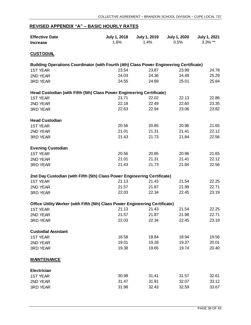## **REVISED APPENDIX "A" – BASIC HOURLY RATES**

| <b>Effective Date</b><br><b>Increase</b>                                                | July 1, 2018<br>1.6% | July 1, 2019<br>1.4% | <b>July 1, 2020</b><br>0.5% | <b>July 1, 2021</b><br>$3.3\%$ ** |
|-----------------------------------------------------------------------------------------|----------------------|----------------------|-----------------------------|-----------------------------------|
| <b>CUSTODIAL</b>                                                                        |                      |                      |                             |                                   |
| Building Operations Coordinator (with Fourth (4th) Class Power Engineering Certificate) |                      |                      |                             |                                   |
| <b>1ST YEAR</b>                                                                         | 23.54                | 23.87                | 23.99                       | 24.78                             |
| 2ND YEAR                                                                                | 24.03                | 24.36                | 24.49                       | 25.29                             |
| <b>3RD YEAR</b>                                                                         | 24.55                | 24.89                | 25.01                       | 25.84                             |
| Head Custodian (with Fifth (5th) Class Power Engineering Certificate)                   |                      |                      |                             |                                   |
| <b>1ST YEAR</b>                                                                         | 21.71                | 22.02                | 22.13                       | 22.86                             |
| 2ND YEAR                                                                                | 22.18                | 22.49                | 22.60                       | 23.35                             |
| <b>3RD YEAR</b>                                                                         | 22.63                | 22.94                | 23.06                       | 23.82                             |
| <b>Head Custodian</b>                                                                   |                      |                      |                             |                                   |
| <b>1ST YEAR</b>                                                                         | 20.56                | 20.85                | 20.96                       | 21.65                             |
| 2ND YEAR                                                                                | 21.01                | 21.31                | 21.41                       | 22.12                             |
| <b>3RD YEAR</b>                                                                         | 21.43                | 21.73                | 21.84                       | 22.56                             |
| <b>Evening Custodian</b>                                                                |                      |                      |                             |                                   |
| <b>1ST YEAR</b>                                                                         | 20.56                | 20.85                | 20.96                       | 21.65                             |
| 2ND YEAR                                                                                | 21.01                | 21.31                | 21.41                       | 22.12                             |
| <b>3RD YEAR</b>                                                                         | 21.43                | 21.73                | 21.84                       | 22.56                             |
| 2nd Day Custodian (with Fifth (5th) Class Power Engineering Certificate)                |                      |                      |                             |                                   |
| <b>1ST YEAR</b>                                                                         | 21.13                | 21.43                | 21.54                       | 22.25                             |
| 2ND YEAR                                                                                | 21.57                | 21.87                | 21.98                       | 22.71                             |
| <b>3RD YEAR</b>                                                                         | 22.03                | 22.34                | 22.45                       | 23.19                             |
| Office Utility Worker (with Fifth (5th) Class Power Engineering Certificate)            |                      |                      |                             |                                   |
| <b>1ST YEAR</b>                                                                         | 21.13                | 21.43                | 21.54                       | 22.25                             |
| 2ND YEAR                                                                                | 21.57                | 21.87                | 21.98                       | 22.71                             |
| <b>3RD YEAR</b>                                                                         | 22.03                | 22.34                | 22.45                       | 23.19                             |
| <b>Custodial Assistant</b>                                                              |                      |                      |                             |                                   |
| <b>1ST YEAR</b>                                                                         | 18.58                | 18.84                | 18.94                       | 19.56                             |
| 2ND YEAR                                                                                | 19.01                | 19.28                | 19.37                       | 20.01                             |
| <b>3RD YEAR</b>                                                                         | 19.38                | 19.65                | 19.74                       | 20.40                             |
| <b>MAINTENANCE</b>                                                                      |                      |                      |                             |                                   |
| <b>Electrician</b>                                                                      |                      |                      |                             |                                   |
| <b>1ST YEAR</b>                                                                         | 30.98                | 31.41                | 31.57                       | 32.61                             |
| 2ND YEAR                                                                                | 31.47                | 31.91                | 32.07                       | 33.12                             |
| <b>3RD YEAR</b>                                                                         | 31.98                | 32.43                | 32.59                       | 33.67                             |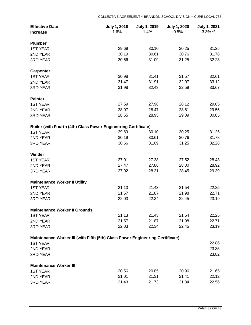| <b>Effective Date</b><br><b>Increase</b>                                      | July 1, 2018<br>1.6% | July 1, 2019<br>1.4% | <b>July 1, 2020</b><br>0.5% | <b>July 1, 2021</b><br>$3.3\%$ ** |
|-------------------------------------------------------------------------------|----------------------|----------------------|-----------------------------|-----------------------------------|
| <b>Plumber</b>                                                                |                      |                      |                             |                                   |
| <b>1ST YEAR</b>                                                               | 29.69                | 30.10                | 30.25                       | 31.25                             |
| 2ND YEAR                                                                      | 30.19                | 30.61                | 30.76                       | 31.78                             |
| <b>3RD YEAR</b>                                                               | 30.66                | 31.09                | 31.25                       | 32.28                             |
| <b>Carpenter</b>                                                              |                      |                      |                             |                                   |
| <b>1ST YEAR</b>                                                               | 30.98                | 31.41                | 31.57                       | 32.61                             |
| 2ND YEAR                                                                      | 31.47                | 31.91                | 32.07                       | 33.12                             |
| <b>3RD YEAR</b>                                                               | 31.98                | 32.43                | 32.59                       | 33.67                             |
| <b>Painter</b>                                                                |                      |                      |                             |                                   |
| <b>1ST YEAR</b>                                                               | 27.59                | 27.98                | 28.12                       | 29.05                             |
| 2ND YEAR                                                                      | 28.07                | 28.47                | 28.61                       | 29.55                             |
| <b>3RD YEAR</b>                                                               | 28.55                | 28.95                | 29.09                       | 30.05                             |
| Boiler (with Fourth (4th) Class Power Engineering Certificate)                |                      |                      |                             |                                   |
| <b>1ST YEAR</b>                                                               | 29.69                | 30.10                | 30.25                       | 31.25                             |
| 2ND YEAR                                                                      | 30.19                | 30.61                | 30.76                       | 31.78                             |
| <b>3RD YEAR</b>                                                               | 30.66                | 31.09                | 31.25                       | 32.28                             |
| Welder                                                                        |                      |                      |                             |                                   |
| <b>1ST YEAR</b>                                                               | 27.01                | 27.38                | 27.52                       | 28.43                             |
| 2ND YEAR                                                                      | 27.47                | 27.86                | 28.00                       | 28.92                             |
| <b>3RD YEAR</b>                                                               | 27.92                | 28.31                | 28.45                       | 29.39                             |
| <b>Maintenance Worker II Utility</b>                                          |                      |                      |                             |                                   |
| <b>1ST YEAR</b>                                                               | 21.13                | 21.43                | 21.54                       | 22.25                             |
| 2ND YEAR                                                                      | 21.57                | 21.87                | 21.98                       | 22.71                             |
| <b>3RD YEAR</b>                                                               | 22.03                | 22.34                | 22.45                       | 23.19                             |
| <b>Maintenance Worker II Grounds</b>                                          |                      |                      |                             |                                   |
| <b>1ST YEAR</b>                                                               | 21.13                | 21.43                | 21.54                       | 22.25                             |
| 2ND YEAR                                                                      | 21.57                | 21.87                | 21.98                       | 22.71                             |
| 3RD YEAR                                                                      | 22.03                | 22.34                | 22.45                       | 23.19                             |
| Maintenance Worker III (with Fifth (5th) Class Power Engineering Certificate) |                      |                      |                             |                                   |
| <b>1ST YEAR</b>                                                               |                      |                      |                             | 22.86                             |
| 2ND YEAR                                                                      |                      |                      |                             | 23.35                             |
| <b>3RD YEAR</b>                                                               |                      |                      |                             | 23.82                             |
| <b>Maintenance Worker III</b>                                                 |                      |                      |                             |                                   |
| <b>1ST YEAR</b>                                                               | 20.56                | 20.85                | 20.96                       | 21.65                             |
| 2ND YEAR                                                                      | 21.01                | 21.31                | 21.41                       | 22.12                             |
| 3RD YEAR                                                                      | 21.43                | 21.73                | 21.84                       | 22.56                             |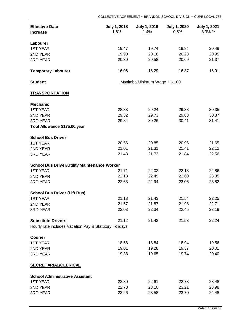| <b>Effective Date</b><br><b>Increase</b>               | July 1, 2018<br>1.6%           | July 1, 2019<br>1.4% | <b>July 1, 2020</b><br>0.5% | <b>July 1, 2021</b><br>$3.3\%$ ** |
|--------------------------------------------------------|--------------------------------|----------------------|-----------------------------|-----------------------------------|
|                                                        |                                |                      |                             |                                   |
| Labourer                                               |                                |                      |                             |                                   |
| <b>1ST YEAR</b>                                        | 19.47                          | 19.74                | 19.84                       | 20.49                             |
| 2ND YEAR                                               | 19.90                          | 20.18                | 20.28                       | 20.95                             |
| <b>3RD YEAR</b>                                        | 20.30                          | 20.58                | 20.69                       | 21.37                             |
| <b>Temporary Labourer</b>                              | 16.06                          | 16.29                | 16.37                       | 16.91                             |
| <b>Student</b>                                         | Manitoba Minimum Wage + \$1.00 |                      |                             |                                   |
| <b>TRANSPORTATION</b>                                  |                                |                      |                             |                                   |
| <b>Mechanic</b>                                        |                                |                      |                             |                                   |
| <b>1ST YEAR</b>                                        | 28.83                          | 29.24                | 29.38                       | 30.35                             |
| 2ND YEAR                                               | 29.32                          | 29.73                | 29.88                       | 30.87                             |
| <b>3RD YEAR</b>                                        | 29.84                          | 30.26                | 30.41                       | 31.41                             |
| Tool Allowance \$175.00/year                           |                                |                      |                             |                                   |
| <b>School Bus Driver</b>                               |                                |                      |                             |                                   |
| <b>1ST YEAR</b>                                        | 20.56                          | 20.85                | 20.96                       | 21.65                             |
| 2ND YEAR                                               | 21.01                          | 21.31                | 21.41                       | 22.12                             |
| <b>3RD YEAR</b>                                        | 21.43                          | 21.73                | 21.84                       | 22.56                             |
| <b>School Bus Driver/Utility Maintenance Worker</b>    |                                |                      |                             |                                   |
| <b>1ST YEAR</b>                                        | 21.71                          | 22.02                | 22.13                       | 22.86                             |
| 2ND YEAR                                               | 22.18                          | 22.49                | 22.60                       | 23.35                             |
| <b>3RD YEAR</b>                                        | 22.63                          | 22.94                | 23.06                       | 23.82                             |
| <b>School Bus Driver (Lift Bus)</b>                    |                                |                      |                             |                                   |
| <b>1ST YEAR</b>                                        | 21.13                          | 21.43                | 21.54                       | 22.25                             |
| 2ND YEAR                                               | 21.57                          | 21.87                | 21.98                       | 22.71                             |
| <b>3RD YEAR</b>                                        | 22.03                          | 22.34                | 22.45                       | 23.19                             |
|                                                        |                                |                      |                             |                                   |
| <b>Substitute Drivers</b>                              | 21.12                          | 21.42                | 21.53                       | 22.24                             |
| Hourly rate includes Vacation Pay & Statutory Holidays |                                |                      |                             |                                   |
| <b>Courier</b>                                         |                                |                      |                             |                                   |
| <b>1ST YEAR</b>                                        | 18.58                          | 18.84                | 18.94                       | 19.56                             |
| 2ND YEAR                                               | 19.01                          | 19.28                | 19.37                       | 20.01                             |
| <b>3RD YEAR</b>                                        | 19.38                          | 19.65                | 19.74                       | 20.40                             |
| <b>SECRETARIAL/CLERICAL</b>                            |                                |                      |                             |                                   |
| <b>School Administrative Assistant</b>                 |                                |                      |                             |                                   |
| <b>1ST YEAR</b>                                        | 22.30                          | 22.61                | 22.73                       | 23.48                             |
| 2ND YEAR                                               | 22.78                          | 23.10                | 23.21                       | 23.98                             |
| 3RD YEAR                                               | 23.26                          | 23.58                | 23.70                       | 24.48                             |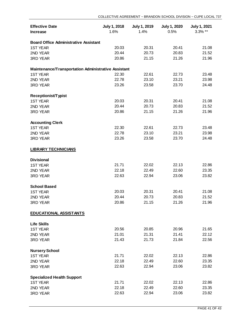| <b>Effective Date</b><br><b>Increase</b>            | July 1, 2018<br>1.6% | <b>July 1, 2019</b><br>1.4% | <b>July 1, 2020</b><br>0.5% | <b>July 1, 2021</b><br>3.3% ** |
|-----------------------------------------------------|----------------------|-----------------------------|-----------------------------|--------------------------------|
|                                                     |                      |                             |                             |                                |
| <b>Board Office Administrative Assistant</b>        |                      |                             |                             |                                |
| <b>1ST YEAR</b>                                     | 20.03                | 20.31                       | 20.41                       | 21.08                          |
| 2ND YEAR                                            | 20.44                | 20.73                       | 20.83                       | 21.52                          |
| 3RD YEAR                                            | 20.86                | 21.15                       | 21.26                       | 21.96                          |
| Maintenance/Transportation Administrative Assistant |                      |                             |                             |                                |
| <b>1ST YEAR</b>                                     | 22.30                | 22.61                       | 22.73                       | 23.48                          |
| 2ND YEAR                                            | 22.78                | 23.10                       | 23.21                       | 23.98                          |
|                                                     |                      |                             |                             |                                |
| 3RD YEAR                                            | 23.26                | 23.58                       | 23.70                       | 24.48                          |
| <b>Receptionist/Typist</b>                          |                      |                             |                             |                                |
| <b>1ST YEAR</b>                                     | 20.03                | 20.31                       | 20.41                       | 21.08                          |
| 2ND YEAR                                            | 20.44                | 20.73                       | 20.83                       | 21.52                          |
| 3RD YEAR                                            | 20.86                | 21.15                       | 21.26                       | 21.96                          |
| <b>Accounting Clerk</b>                             |                      |                             |                             |                                |
| <b>1ST YEAR</b>                                     | 22.30                | 22.61                       | 22.73                       | 23.48                          |
| 2ND YEAR                                            | 22.78                | 23.10                       | 23.21                       | 23.98                          |
| 3RD YEAR                                            | 23.26                | 23.58                       | 23.70                       | 24.48                          |
|                                                     |                      |                             |                             |                                |
| <b>LIBRARY TECHNICIANS</b>                          |                      |                             |                             |                                |
| <b>Divisional</b>                                   |                      |                             |                             |                                |
| <b>1ST YEAR</b>                                     | 21.71                | 22.02                       | 22.13                       | 22.86                          |
| 2ND YEAR                                            | 22.18                | 22.49                       | 22.60                       | 23.35                          |
| 3RD YEAR                                            | 22.63                | 22.94                       | 23.06                       | 23.82                          |
| <b>School Based</b>                                 |                      |                             |                             |                                |
| <b>1ST YEAR</b>                                     | 20.03                | 20.31                       | 20.41                       | 21.08                          |
| 2ND YEAR                                            | 20.44                | 20.73                       | 20.83                       | 21.52                          |
| 3RD YEAR                                            | 20.86                | 21.15                       | 21.26                       | 21.96                          |
|                                                     |                      |                             |                             |                                |
| <b>EDUCATIONAL ASSISTANTS</b>                       |                      |                             |                             |                                |
| <b>Life Skills</b>                                  |                      |                             |                             |                                |
| <b>1ST YEAR</b>                                     | 20.56                | 20.85                       | 20.96                       | 21.65                          |
| 2ND YEAR                                            | 21.01                | 21.31                       | 21.41                       | 22.12                          |
| 3RD YEAR                                            | 21.43                | 21.73                       | 21.84                       | 22.56                          |
| <b>Nursery School</b>                               |                      |                             |                             |                                |
| <b>1ST YEAR</b>                                     | 21.71                | 22.02                       | 22.13                       | 22.86                          |
| 2ND YEAR                                            | 22.18                | 22.49                       | 22.60                       | 23.35                          |
| <b>3RD YEAR</b>                                     | 22.63                | 22.94                       | 23.06                       | 23.82                          |
|                                                     |                      |                             |                             |                                |
| <b>Specialized Health Support</b>                   |                      |                             |                             |                                |
| <b>1ST YEAR</b>                                     | 21.71                | 22.02                       | 22.13                       | 22.86                          |
| 2ND YEAR                                            | 22.18                | 22.49                       | 22.60                       | 23.35                          |
| 3RD YEAR                                            | 22.63                | 22.94                       | 23.06                       | 23.82                          |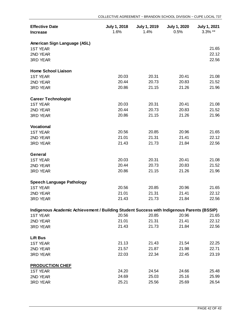| <b>Effective Date</b><br><b>Increase</b>                                                   | <b>July 1, 2018</b><br>1.6% | <b>July 1, 2019</b><br>1.4% | <b>July 1, 2020</b><br>0.5% | <b>July 1, 2021</b><br>3.3% ** |
|--------------------------------------------------------------------------------------------|-----------------------------|-----------------------------|-----------------------------|--------------------------------|
| American Sign Language (ASL)                                                               |                             |                             |                             |                                |
| <b>1ST YEAR</b>                                                                            |                             |                             |                             | 21.65                          |
| 2ND YEAR                                                                                   |                             |                             |                             | 22.12                          |
| <b>3RD YEAR</b>                                                                            |                             |                             |                             | 22.56                          |
| <b>Home School Liaison</b>                                                                 |                             |                             |                             |                                |
| <b>1ST YEAR</b>                                                                            | 20.03                       | 20.31                       | 20.41                       | 21.08                          |
| 2ND YEAR                                                                                   | 20.44                       | 20.73                       | 20.83                       | 21.52                          |
| 3RD YEAR                                                                                   | 20.86                       | 21.15                       | 21.26                       | 21.96                          |
| <b>Career Technologist</b>                                                                 |                             |                             |                             |                                |
| <b>1ST YEAR</b>                                                                            | 20.03                       | 20.31                       | 20.41                       | 21.08                          |
| 2ND YEAR                                                                                   | 20.44                       | 20.73                       | 20.83                       | 21.52                          |
| 3RD YEAR                                                                                   | 20.86                       | 21.15                       | 21.26                       | 21.96                          |
| <b>Vocational</b>                                                                          |                             |                             |                             |                                |
| <b>1ST YEAR</b>                                                                            | 20.56                       | 20.85                       | 20.96                       | 21.65                          |
| 2ND YEAR                                                                                   | 21.01                       | 21.31                       | 21.41                       | 22.12                          |
| 3RD YEAR                                                                                   | 21.43                       | 21.73                       | 21.84                       | 22.56                          |
| <b>General</b>                                                                             |                             |                             |                             |                                |
| <b>1ST YEAR</b>                                                                            | 20.03                       | 20.31                       | 20.41                       | 21.08                          |
| 2ND YEAR                                                                                   | 20.44                       | 20.73                       | 20.83                       | 21.52                          |
| <b>3RD YEAR</b>                                                                            | 20.86                       | 21.15                       | 21.26                       | 21.96                          |
| <b>Speech Language Pathology</b>                                                           |                             |                             |                             |                                |
| <b>1ST YEAR</b>                                                                            | 20.56                       | 20.85                       | 20.96                       | 21.65                          |
| 2ND YEAR                                                                                   | 21.01                       | 21.31                       | 21.41                       | 22.12                          |
| <b>3RD YEAR</b>                                                                            | 21.43                       | 21.73                       | 21.84                       | 22.56                          |
| Indigenous Academic Achievement / Building Student Success with Indigenous Parents (BSSIP) |                             |                             |                             |                                |
| <b>1ST YEAR</b>                                                                            | 20.56                       | 20.85                       | 20.96                       | 21.65                          |
| 2ND YEAR                                                                                   | 21.01                       | 21.31                       | 21.41                       | 22.12                          |
| <b>3RD YEAR</b>                                                                            | 21.43                       | 21.73                       | 21.84                       | 22.56                          |
| <b>Lift Bus</b>                                                                            |                             |                             |                             |                                |
| <b>1ST YEAR</b>                                                                            | 21.13                       | 21.43                       | 21.54                       | 22.25                          |
| 2ND YEAR                                                                                   | 21.57                       | 21.87                       | 21.98                       | 22.71                          |
| <b>3RD YEAR</b>                                                                            | 22.03                       | 22.34                       | 22.45                       | 23.19                          |
| <b>PRODUCTION CHEF</b>                                                                     |                             |                             |                             |                                |
| <b>1ST YEAR</b>                                                                            | 24.20                       | 24.54                       | 24.66                       | 25.48                          |
| 2ND YEAR                                                                                   | 24.69                       | 25.03                       | 25.16                       | 25.99                          |
| 3RD YEAR                                                                                   | 25.21                       | 25.56                       | 25.69                       | 26.54                          |